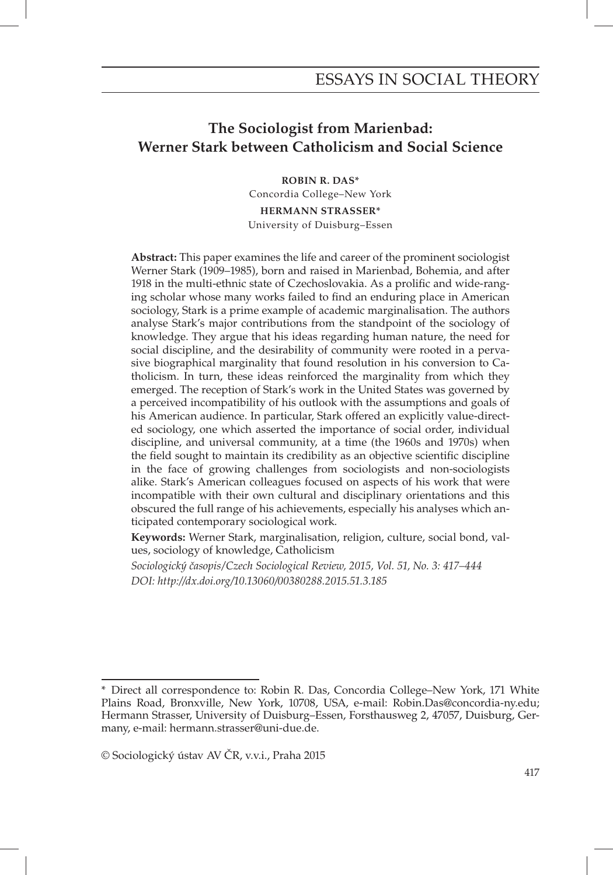# **The Sociologist from Marienbad: Werner Stark between Catholicism and Social Science**

**ROBIN R. DAS\*** Concordia College–New York

**HERMANN STRASSER\*** University of Duisburg–Essen

**Abstract:** This paper examines the life and career of the prominent sociologist Werner Stark (1909–1985), born and raised in Marienbad, Bohemia, and after 1918 in the multi-ethnic state of Czechoslovakia. As a prolific and wide-ranging scholar whose many works failed to find an enduring place in American sociology, Stark is a prime example of academic marginalisation. The authors analyse Stark's major contributions from the standpoint of the sociology of knowledge. They argue that his ideas regarding human nature, the need for social discipline, and the desirability of community were rooted in a pervasive biographical marginality that found resolution in his conversion to Catholicism. In turn, these ideas reinforced the marginality from which they emerged. The reception of Stark's work in the United States was governed by a perceived incompatibility of his outlook with the assumptions and goals of his American audience. In particular, Stark offered an explicitly value-directed sociology, one which asserted the importance of social order, individual discipline, and universal community, at a time (the 1960s and 1970s) when the field sought to maintain its credibility as an objective scientific discipline in the face of growing challenges from sociologists and non-sociologists alike. Stark's American colleagues focused on aspects of his work that were incompatible with their own cultural and disciplinary orientations and this obscured the full range of his achievements, especially his analyses which anticipated contemporary sociological work.

**Keywords:** Werner Stark, marginalisation, religion, culture, social bond, values, sociology of knowledge, Catholicism

*Sociologický časopis/Czech Sociological Review, 2015, Vol. 51, No. 3: 417–444 DOI: http://dx.doi.org/10.13060/00380288.2015.51.3.185*

<sup>\*</sup> Direct all correspondence to: Robin R. Das, Concordia College–New York, 171 White Plains Road, Bronxville, New York, 10708, USA, e-mail: Robin.Das@concordia-ny.edu; Hermann Strasser, University of Duisburg–Essen, Forsthausweg 2, 47057, Duisburg, Germany, e-mail: hermann.strasser@uni-due.de.

<sup>©</sup> Sociologický ústav AV ČR, v.v.i., Praha 2015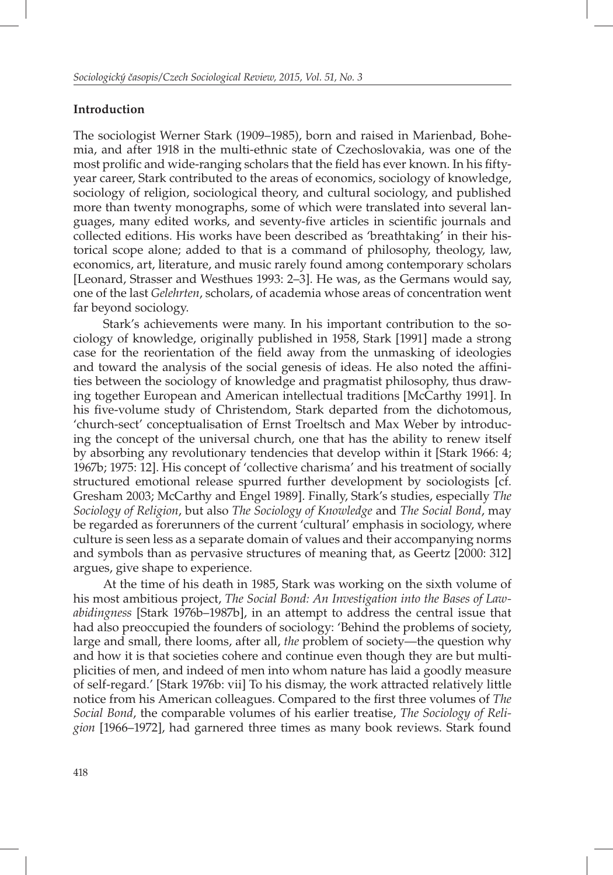## **Introduction**

The sociologist Werner Stark (1909–1985), born and raised in Marienbad, Bohemia, and after 1918 in the multi-ethnic state of Czechoslovakia, was one of the most prolific and wide-ranging scholars that the field has ever known. In his fiftyyear career, Stark contributed to the areas of economics, sociology of knowledge, sociology of religion, sociological theory, and cultural sociology, and published more than twenty monographs, some of which were translated into several languages, many edited works, and seventy-five articles in scientific journals and collected editions. His works have been described as 'breathtaking' in their historical scope alone; added to that is a command of philosophy, theology, law, economics, art, literature, and music rarely found among contemporary scholars [Leonard, Strasser and Westhues 1993: 2–3]. He was, as the Germans would say, one of the last *Gelehrten*, scholars, of academia whose areas of concentration went far beyond sociology.

Stark's achievements were many. In his important contribution to the sociology of knowledge, originally published in 1958, Stark [1991] made a strong case for the reorientation of the field away from the unmasking of ideologies and toward the analysis of the social genesis of ideas. He also noted the affinities between the sociology of knowledge and pragmatist philosophy, thus drawing together European and American intellectual traditions [McCarthy 1991]. In his five-volume study of Christendom, Stark departed from the dichotomous, 'church-sect' conceptualisation of Ernst Troeltsch and Max Weber by introducing the concept of the universal church, one that has the ability to renew itself by absorbing any revolutionary tendencies that develop within it [Stark 1966: 4; 1967b; 1975: 12]. His concept of 'collective charisma' and his treatment of socially structured emotional release spurred further development by sociologists [cf. Gresham 2003; McCarthy and Engel 1989]. Finally, Stark's studies, especially *The Sociology of Religion*, but also *The Sociology of Knowledge* and *The Social Bond*, may be regarded as forerunners of the current 'cultural' emphasis in sociology, where culture is seen less as a separate domain of values and their accompanying norms and symbols than as pervasive structures of meaning that, as Geertz [2000: 312] argues, give shape to experience.

At the time of his death in 1985, Stark was working on the sixth volume of his most ambitious project, *The Social Bond: An Investigation into the Bases of Lawabidingness* [Stark 1976b–1987b], in an attempt to address the central issue that had also preoccupied the founders of sociology: 'Behind the problems of society, large and small, there looms, after all, *the* problem of society—the question why and how it is that societies cohere and continue even though they are but multiplicities of men, and indeed of men into whom nature has laid a goodly measure of self-regard.' [Stark 1976b: vii] To his dismay, the work attracted relatively little notice from his American colleagues. Compared to the first three volumes of *The Social Bond*, the comparable volumes of his earlier treatise, *The Sociology of Religion* [1966–1972], had garnered three times as many book reviews. Stark found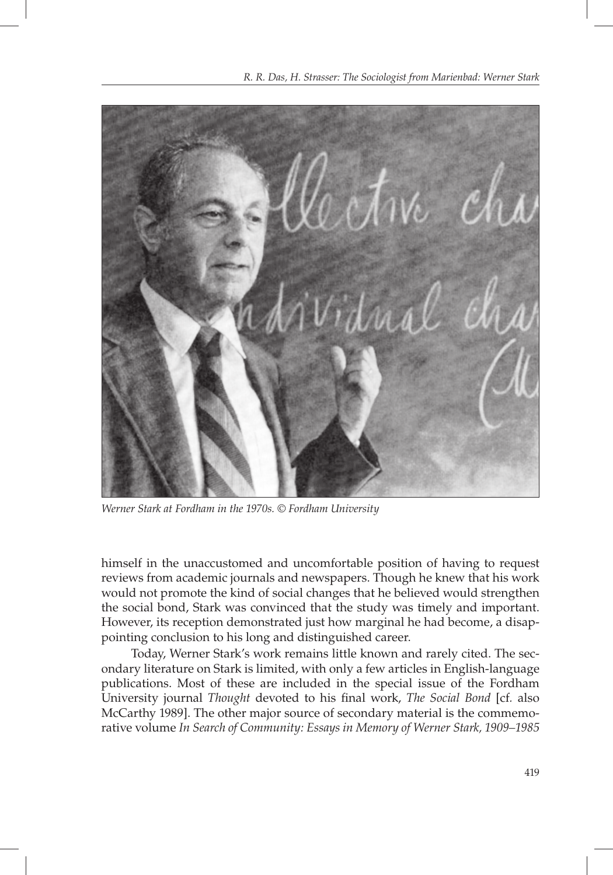

*Werner Stark at Fordham in the 1970s. © Fordham University*

himself in the unaccustomed and uncomfortable position of having to request reviews from academic journals and newspapers. Though he knew that his work would not promote the kind of social changes that he believed would strengthen the social bond, Stark was convinced that the study was timely and important. However, its reception demonstrated just how marginal he had become, a disappointing conclusion to his long and distinguished career.

Today, Werner Stark's work remains little known and rarely cited. The secondary literature on Stark is limited, with only a few articles in English-language publications. Most of these are included in the special issue of the Fordham University journal *Thought* devoted to his final work, *The Social Bond* [cf. also McCarthy 1989]. The other major source of secondary material is the commemorative volume *In Search of Community: Essays in Memory of Werner Stark, 1909–1985*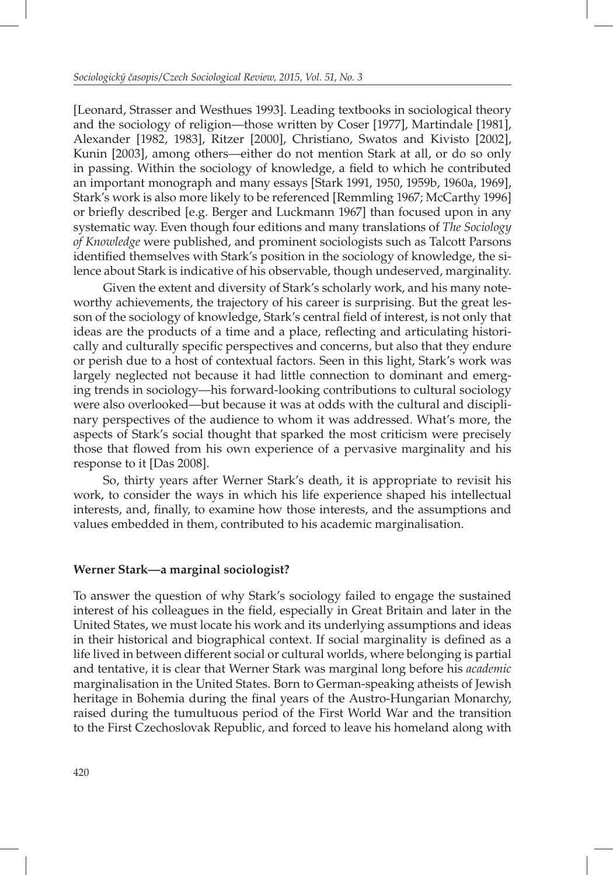[Leonard, Strasser and Westhues 1993]. Leading textbooks in sociological theory and the sociology of religion—those written by Coser [1977], Martindale [1981], Alexander [1982, 1983], Ritzer [2000], Christiano, Swatos and Kivisto [2002], Kunin [2003], among others—either do not mention Stark at all, or do so only in passing. Within the sociology of knowledge, a field to which he contributed an important monograph and many essays [Stark 1991, 1950, 1959b, 1960a, 1969], Stark's work is also more likely to be referenced [Remmling 1967; McCarthy 1996] or briefly described [e.g. Berger and Luckmann 1967] than focused upon in any systematic way. Even though four editions and many translations of *The Sociology of Knowledge* were published, and prominent sociologists such as Talcott Parsons identified themselves with Stark's position in the sociology of knowledge, the silence about Stark is indicative of his observable, though undeserved, marginality.

Given the extent and diversity of Stark's scholarly work, and his many noteworthy achievements, the trajectory of his career is surprising. But the great lesson of the sociology of knowledge, Stark's central field of interest, is not only that ideas are the products of a time and a place, reflecting and articulating historically and culturally specific perspectives and concerns, but also that they endure or perish due to a host of contextual factors. Seen in this light, Stark's work was largely neglected not because it had little connection to dominant and emerging trends in sociology—his forward-looking contributions to cultural sociology were also overlooked—but because it was at odds with the cultural and disciplinary perspectives of the audience to whom it was addressed. What's more, the aspects of Stark's social thought that sparked the most criticism were precisely those that flowed from his own experience of a pervasive marginality and his response to it [Das 2008].

So, thirty years after Werner Stark's death, it is appropriate to revisit his work, to consider the ways in which his life experience shaped his intellectual interests, and, finally, to examine how those interests, and the assumptions and values embedded in them, contributed to his academic marginalisation.

#### **Werner Stark—a marginal sociologist?**

To answer the question of why Stark's sociology failed to engage the sustained interest of his colleagues in the field, especially in Great Britain and later in the United States, we must locate his work and its underlying assumptions and ideas in their historical and biographical context. If social marginality is defined as a life lived in between different social or cultural worlds, where belonging is partial and tentative, it is clear that Werner Stark was marginal long before his *academic* marginalisation in the United States. Born to German-speaking atheists of Jewish heritage in Bohemia during the final years of the Austro-Hungarian Monarchy, raised during the tumultuous period of the First World War and the transition to the First Czechoslovak Republic, and forced to leave his homeland along with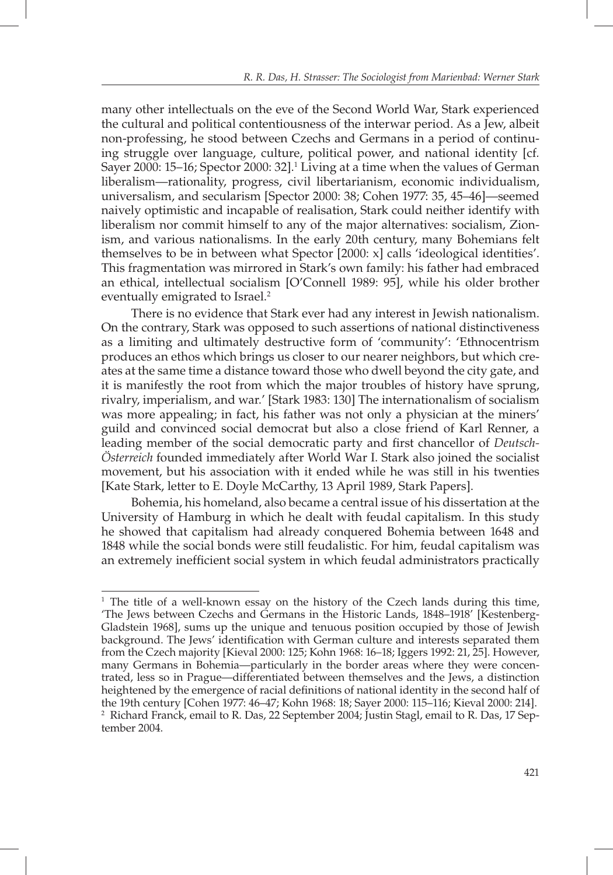many other intellectuals on the eve of the Second World War, Stark experienced the cultural and political contentiousness of the interwar period. As a Jew, albeit non-professing, he stood between Czechs and Germans in a period of continuing struggle over language, culture, political power, and national identity [cf*.* Sayer 2000: 15–16; Spector 2000: 32].<sup>1</sup> Living at a time when the values of German liberalism—rationality, progress, civil libertarianism, economic individualism, universalism, and secularism [Spector 2000: 38; Cohen 1977: 35, 45–46]—seemed naively optimistic and incapable of realisation, Stark could neither identify with liberalism nor commit himself to any of the major alternatives: socialism, Zionism, and various nationalisms. In the early 20th century, many Bohemians felt themselves to be in between what Spector [2000: x] calls 'ideological identities'. This fragmentation was mirrored in Stark's own family: his father had embraced an ethical, intellectual socialism [O'Connell 1989: 95], while his older brother eventually emigrated to Israel.<sup>2</sup>

There is no evidence that Stark ever had any interest in Jewish nationalism. On the contrary, Stark was opposed to such assertions of national distinctiveness as a limiting and ultimately destructive form of 'community': 'Ethnocentrism produces an ethos which brings us closer to our nearer neighbors, but which creates at the same time a distance toward those who dwell beyond the city gate, and it is manifestly the root from which the major troubles of history have sprung, rivalry, imperialism, and war.' [Stark 1983: 130] The internationalism of socialism was more appealing; in fact, his father was not only a physician at the miners' guild and convinced social democrat but also a close friend of Karl Renner, a leading member of the social democratic party and first chancellor of *Deutsch*-*Österreich* founded immediately after World War I. Stark also joined the socialist movement, but his association with it ended while he was still in his twenties [Kate Stark, letter to E. Doyle McCarthy, 13 April 1989, Stark Papers].

Bohemia, his homeland, also became a central issue of his dissertation at the University of Hamburg in which he dealt with feudal capitalism. In this study he showed that capitalism had already conquered Bohemia between 1648 and 1848 while the social bonds were still feudalistic. For him, feudal capitalism was an extremely inefficient social system in which feudal administrators practically

<sup>&</sup>lt;sup>1</sup> The title of a well-known essay on the history of the Czech lands during this time, 'The Jews between Czechs and Germans in the Historic Lands, 1848–1918' [Kestenberg-Gladstein 1968], sums up the unique and tenuous position occupied by those of Jewish background. The Jews' identification with German culture and interests separated them from the Czech majority [Kieval 2000: 125; Kohn 1968: 16–18; Iggers 1992: 21, 25]. However, many Germans in Bohemia—particularly in the border areas where they were concentrated, less so in Prague—differentiated between themselves and the Jews, a distinction heightened by the emergence of racial definitions of national identity in the second half of the 19th century [Cohen 1977: 46–47; Kohn 1968: 18; Sayer 2000: 115–116; Kieval 2000: 214]. 2 Richard Franck, email to R. Das, 22 September 2004; Justin Stagl, email to R. Das, 17 September 2004.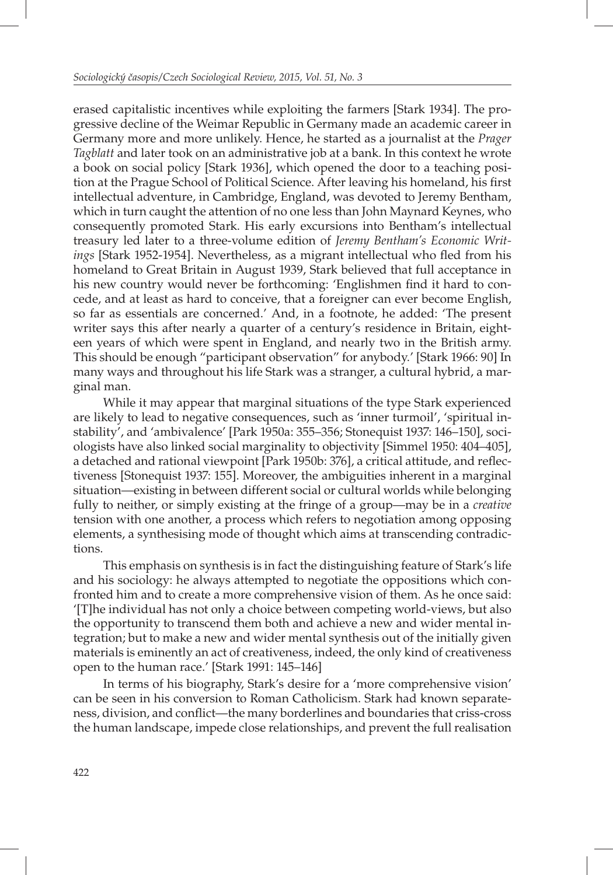erased capitalistic incentives while exploiting the farmers [Stark 1934]. The progressive decline of the Weimar Republic in Germany made an academic career in Germany more and more unlikely. Hence, he started as a journalist at the *Prager Tagblatt* and later took on an administrative job at a bank. In this context he wrote a book on social policy [Stark 1936], which opened the door to a teaching position at the Prague School of Political Science. After leaving his homeland, his first intellectual adventure, in Cambridge, England, was devoted to Jeremy Bentham, which in turn caught the attention of no one less than John Maynard Keynes, who consequently promoted Stark. His early excursions into Bentham's intellectual treasury led later to a three-volume edition of *Jeremy Bentham's Economic Writings* [Stark 1952-1954]. Nevertheless, as a migrant intellectual who fled from his homeland to Great Britain in August 1939, Stark believed that full acceptance in his new country would never be forthcoming: 'Englishmen find it hard to concede, and at least as hard to conceive, that a foreigner can ever become English, so far as essentials are concerned.' And, in a footnote, he added: 'The present writer says this after nearly a quarter of a century's residence in Britain, eighteen years of which were spent in England, and nearly two in the British army. This should be enough "participant observation" for anybody.' [Stark 1966: 90] In many ways and throughout his life Stark was a stranger, a cultural hybrid, a marginal man.

While it may appear that marginal situations of the type Stark experienced are likely to lead to negative consequences, such as 'inner turmoil', 'spiritual instability', and 'ambivalence' [Park 1950a: 355–356; Stonequist 1937: 146–150], sociologists have also linked social marginality to objectivity [Simmel 1950: 404–405], a detached and rational viewpoint [Park 1950b: 376], a critical attitude, and reflectiveness [Stonequist 1937: 155]. Moreover, the ambiguities inherent in a marginal situation—existing in between different social or cultural worlds while belonging fully to neither, or simply existing at the fringe of a group—may be in a *creative* tension with one another, a process which refers to negotiation among opposing elements, a synthesising mode of thought which aims at transcending contradictions.

This emphasis on synthesis is in fact the distinguishing feature of Stark's life and his sociology: he always attempted to negotiate the oppositions which confronted him and to create a more comprehensive vision of them. As he once said: '[T]he individual has not only a choice between competing world-views, but also the opportunity to transcend them both and achieve a new and wider mental integration; but to make a new and wider mental synthesis out of the initially given materials is eminently an act of creativeness, indeed, the only kind of creativeness open to the human race.' [Stark 1991: 145–146]

In terms of his biography, Stark's desire for a 'more comprehensive vision' can be seen in his conversion to Roman Catholicism. Stark had known separateness, division, and conflict—the many borderlines and boundaries that criss-cross the human landscape, impede close relationships, and prevent the full realisation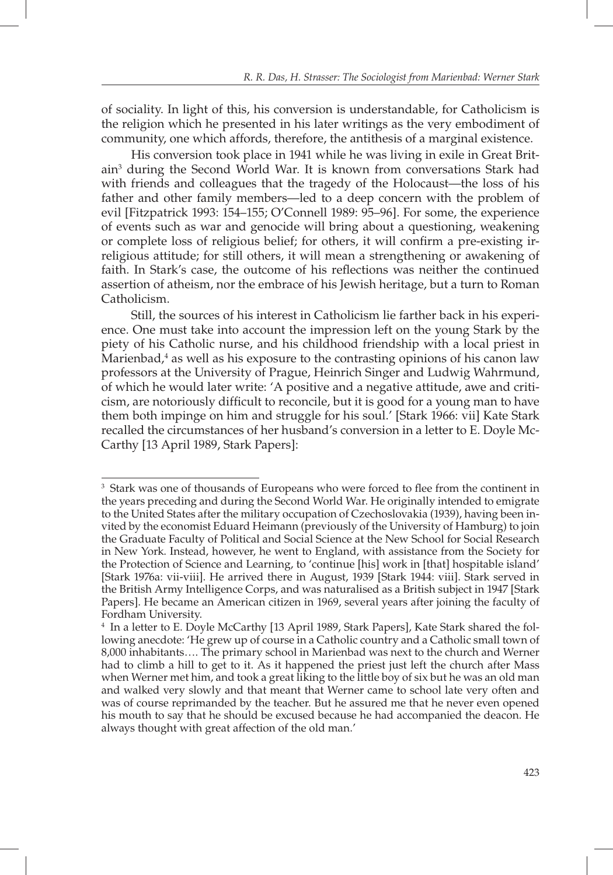of sociality. In light of this, his conversion is understandable, for Catholicism is the religion which he presented in his later writings as the very embodiment of community, one which affords, therefore, the antithesis of a marginal existence.

His conversion took place in 1941 while he was living in exile in Great Britain3 during the Second World War. It is known from conversations Stark had with friends and colleagues that the tragedy of the Holocaust—the loss of his father and other family members—led to a deep concern with the problem of evil [Fitzpatrick 1993: 154–155; O'Connell 1989: 95–96]. For some, the experience of events such as war and genocide will bring about a questioning, weakening or complete loss of religious belief; for others, it will confirm a pre-existing irreligious attitude; for still others, it will mean a strengthening or awakening of faith. In Stark's case, the outcome of his reflections was neither the continued assertion of atheism, nor the embrace of his Jewish heritage, but a turn to Roman Catholicism.

Still, the sources of his interest in Catholicism lie farther back in his experience. One must take into account the impression left on the young Stark by the piety of his Catholic nurse, and his childhood friendship with a local priest in Marienbad,<sup>4</sup> as well as his exposure to the contrasting opinions of his canon law professors at the University of Prague, Heinrich Singer and Ludwig Wahrmund, of which he would later write: 'A positive and a negative attitude, awe and criticism, are notoriously difficult to reconcile, but it is good for a young man to have them both impinge on him and struggle for his soul.' [Stark 1966: vii] Kate Stark recalled the circumstances of her husband's conversion in a letter to E. Doyle Mc-Carthy [13 April 1989, Stark Papers]:

<sup>&</sup>lt;sup>3</sup> Stark was one of thousands of Europeans who were forced to flee from the continent in the years preceding and during the Second World War. He originally intended to emigrate to the United States after the military occupation of Czechoslovakia (1939), having been invited by the economist Eduard Heimann (previously of the University of Hamburg) to join the Graduate Faculty of Political and Social Science at the New School for Social Research in New York. Instead, however, he went to England, with assistance from the Society for the Protection of Science and Learning, to 'continue [his] work in [that] hospitable island' [Stark 1976a: vii-viii]. He arrived there in August, 1939 [Stark 1944: viii]. Stark served in the British Army Intelligence Corps, and was naturalised as a British subject in 1947 [Stark Papers]. He became an American citizen in 1969, several years after joining the faculty of Fordham University.

<sup>4</sup> In a letter to E. Doyle McCarthy [13 April 1989, Stark Papers], Kate Stark shared the following anecdote: 'He grew up of course in a Catholic country and a Catholic small town of 8,000 inhabitants…. The primary school in Marienbad was next to the church and Werner had to climb a hill to get to it. As it happened the priest just left the church after Mass when Werner met him, and took a great liking to the little boy of six but he was an old man and walked very slowly and that meant that Werner came to school late very often and was of course reprimanded by the teacher. But he assured me that he never even opened his mouth to say that he should be excused because he had accompanied the deacon. He always thought with great affection of the old man.'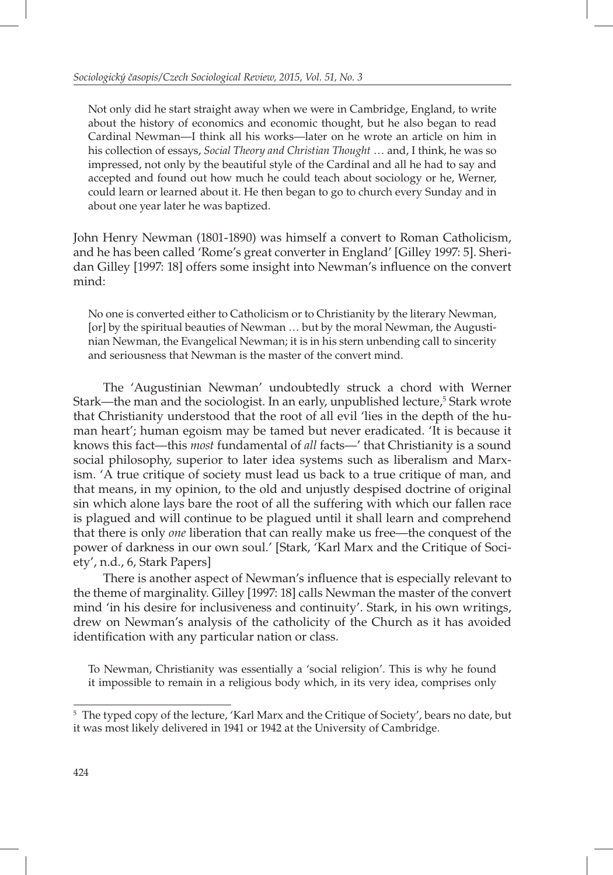Not only did he start straight away when we were in Cambridge, England, to write about the history of economics and economic thought, but he also began to read Cardinal Newman—I think all his works—later on he wrote an article on him in his collection of essays, *Social Theory and Christian Thought* … and, I think, he was so impressed, not only by the beautiful style of the Cardinal and all he had to say and accepted and found out how much he could teach about sociology or he, Werner, could learn or learned about it. He then began to go to church every Sunday and in about one year later he was baptized.

John Henry Newman (1801-1890) was himself a convert to Roman Catholicism, and he has been called 'Rome's great converter in England' [Gilley 1997: 5]. Sheridan Gilley [1997: 18] offers some insight into Newman's influence on the convert mind:

No one is converted either to Catholicism or to Christianity by the literary Newman, [or] by the spiritual beauties of Newman … but by the moral Newman, the Augustinian Newman, the Evangelical Newman; it is in his stern unbending call to sincerity and seriousness that Newman is the master of the convert mind.

The 'Augustinian Newman' undoubtedly struck a chord with Werner Stark—the man and the sociologist. In an early, unpublished lecture,<sup>5</sup> Stark wrote that Christianity understood that the root of all evil 'lies in the depth of the human heart'; human egoism may be tamed but never eradicated. 'It is because it knows this fact—this *most* fundamental of *all* facts—' that Christianity is a sound social philosophy, superior to later idea systems such as liberalism and Marxism. 'A true critique of society must lead us back to a true critique of man, and that means, in my opinion, to the old and unjustly despised doctrine of original sin which alone lays bare the root of all the suffering with which our fallen race is plagued and will continue to be plagued until it shall learn and comprehend that there is only *one* liberation that can really make us free—the conquest of the power of darkness in our own soul.' [Stark, 'Karl Marx and the Critique of Society', n.d., 6, Stark Papers]

There is another aspect of Newman's influence that is especially relevant to the theme of marginality. Gilley [1997: 18] calls Newman the master of the convert mind 'in his desire for inclusiveness and continuity'. Stark, in his own writings, drew on Newman's analysis of the catholicity of the Church as it has avoided identification with any particular nation or class.

To Newman, Christianity was essentially a 'social religion'. This is why he found it impossible to remain in a religious body which, in its very idea, comprises only

 $^5$  The typed copy of the lecture, 'Karl Marx and the Critique of Society', bears no date, but it was most likely delivered in 1941 or 1942 at the University of Cambridge.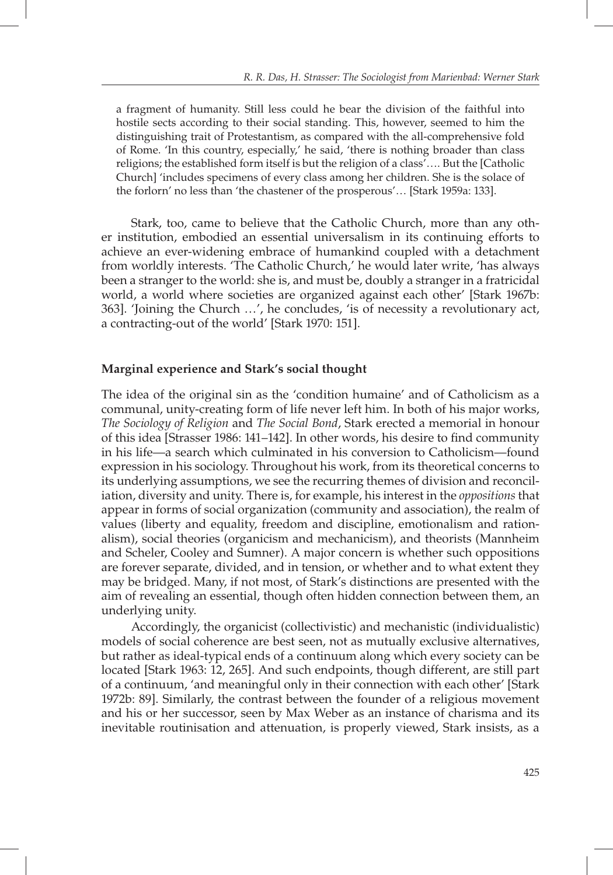a fragment of humanity. Still less could he bear the division of the faithful into hostile sects according to their social standing. This, however, seemed to him the distinguishing trait of Protestantism, as compared with the all-comprehensive fold of Rome. 'In this country, especially,' he said, 'there is nothing broader than class religions; the established form itself is but the religion of a class'…. But the [Catholic Church] 'includes specimens of every class among her children. She is the solace of the forlorn' no less than 'the chastener of the prosperous'… [Stark 1959a: 133].

Stark, too, came to believe that the Catholic Church, more than any other institution, embodied an essential universalism in its continuing efforts to achieve an ever-widening embrace of humankind coupled with a detachment from worldly interests. 'The Catholic Church,' he would later write, 'has always been a stranger to the world: she is, and must be, doubly a stranger in a fratricidal world, a world where societies are organized against each other' [Stark 1967b: 363]. 'Joining the Church …', he concludes, 'is of necessity a revolutionary act, a contracting-out of the world' [Stark 1970: 151].

# **Marginal experience and Stark's social thought**

The idea of the original sin as the 'condition humaine' and of Catholicism as a communal, unity-creating form of life never left him. In both of his major works, *The Sociology of Religion* and *The Social Bond*, Stark erected a memorial in honour of this idea [Strasser 1986: 141–142]. In other words, his desire to find community in his life—a search which culminated in his conversion to Catholicism—found expression in his sociology. Throughout his work, from its theoretical concerns to its underlying assumptions, we see the recurring themes of division and reconciliation, diversity and unity. There is, for example, his interest in the *oppositions* that appear in forms of social organization (community and association), the realm of values (liberty and equality, freedom and discipline, emotionalism and rationalism), social theories (organicism and mechanicism), and theorists (Mannheim and Scheler, Cooley and Sumner). A major concern is whether such oppositions are forever separate, divided, and in tension, or whether and to what extent they may be bridged. Many, if not most, of Stark's distinctions are presented with the aim of revealing an essential, though often hidden connection between them, an underlying unity.

Accordingly, the organicist (collectivistic) and mechanistic (individualistic) models of social coherence are best seen, not as mutually exclusive alternatives, but rather as ideal-typical ends of a continuum along which every society can be located [Stark 1963: 12, 265]. And such endpoints, though different, are still part of a continuum, 'and meaningful only in their connection with each other' [Stark 1972b: 89]. Similarly, the contrast between the founder of a religious movement and his or her successor, seen by Max Weber as an instance of charisma and its inevitable routinisation and attenuation, is properly viewed, Stark insists, as a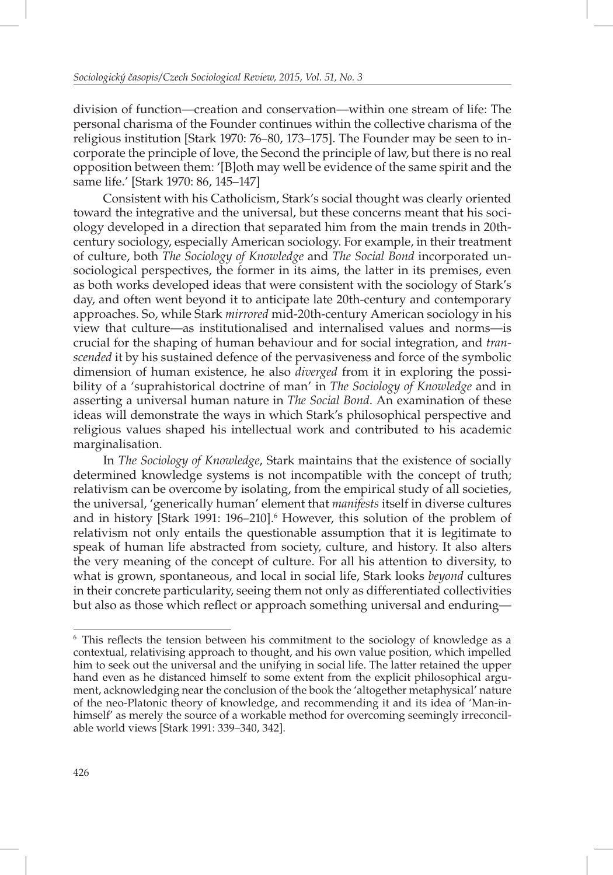division of function—creation and conservation—within one stream of life: The personal charisma of the Founder continues within the collective charisma of the religious institution [Stark 1970: 76–80, 173–175]. The Founder may be seen to incorporate the principle of love, the Second the principle of law, but there is no real opposition between them: '[B]oth may well be evidence of the same spirit and the same life.' [Stark 1970: 86, 145–147]

Consistent with his Catholicism, Stark's social thought was clearly oriented toward the integrative and the universal, but these concerns meant that his sociology developed in a direction that separated him from the main trends in 20thcentury sociology, especially American sociology. For example, in their treatment of culture, both *The Sociology of Knowledge* and *The Social Bond* incorporated unsociological perspectives, the former in its aims, the latter in its premises, even as both works developed ideas that were consistent with the sociology of Stark's day, and often went beyond it to anticipate late 20th-century and contemporary approaches. So, while Stark *mirrored* mid-20th-century American sociology in his view that culture—as institutionalised and internalised values and norms—is crucial for the shaping of human behaviour and for social integration, and *transcended* it by his sustained defence of the pervasiveness and force of the symbolic dimension of human existence, he also *diverged* from it in exploring the possibility of a 'suprahistorical doctrine of man' in *The Sociology of Knowledge* and in asserting a universal human nature in *The Social Bond*. An examination of these ideas will demonstrate the ways in which Stark's philosophical perspective and religious values shaped his intellectual work and contributed to his academic marginalisation.

In *The Sociology of Knowledge*, Stark maintains that the existence of socially determined knowledge systems is not incompatible with the concept of truth; relativism can be overcome by isolating, from the empirical study of all societies, the universal, 'generically human' element that *manifests* itself in diverse cultures and in history [Stark 1991: 196–210].<sup>6</sup> However, this solution of the problem of relativism not only entails the questionable assumption that it is legitimate to speak of human life abstracted from society, culture, and history. It also alters the very meaning of the concept of culture. For all his attention to diversity, to what is grown, spontaneous, and local in social life, Stark looks *beyond* cultures in their concrete particularity, seeing them not only as differentiated collectivities but also as those which reflect or approach something universal and enduring-

<sup>&</sup>lt;sup>6</sup> This reflects the tension between his commitment to the sociology of knowledge as a contextual, relativising approach to thought, and his own value position, which impelled him to seek out the universal and the unifying in social life. The latter retained the upper hand even as he distanced himself to some extent from the explicit philosophical argument, acknowledging near the conclusion of the book the 'altogether metaphysical' nature of the neo-Platonic theory of knowledge, and recommending it and its idea of 'Man-inhimself' as merely the source of a workable method for overcoming seemingly irreconcilable world views [Stark 1991: 339–340, 342].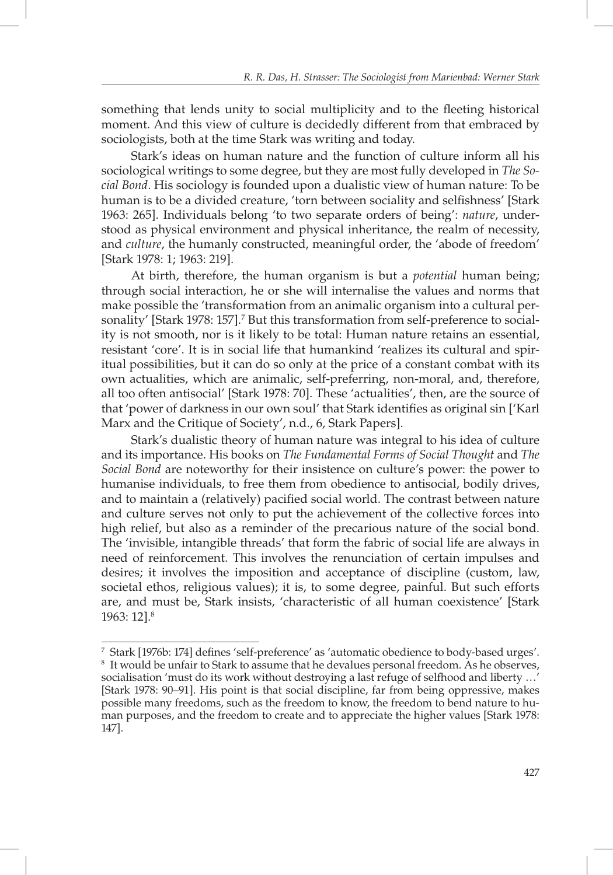something that lends unity to social multiplicity and to the fleeting historical moment. And this view of culture is decidedly different from that embraced by sociologists, both at the time Stark was writing and today.

Stark's ideas on human nature and the function of culture inform all his sociological writings to some degree, but they are most fully developed in *The Social Bond*. His sociology is founded upon a dualistic view of human nature: To be human is to be a divided creature, 'torn between sociality and selfishness' [Stark 1963: 265]. Individuals belong 'to two separate orders of being': *nature*, understood as physical environment and physical inheritance, the realm of necessity, and *culture*, the humanly constructed, meaningful order, the 'abode of freedom' [Stark 1978: 1; 1963: 219].

At birth, therefore, the human organism is but a *potential* human being; through social interaction, he or she will internalise the values and norms that make possible the 'transformation from an animalic organism into a cultural personality' [Stark 1978: 157].<sup>7</sup> But this transformation from self-preference to sociality is not smooth, nor is it likely to be total: Human nature retains an essential, resistant 'core'. It is in social life that humankind 'realizes its cultural and spiritual possibilities, but it can do so only at the price of a constant combat with its own actualities, which are animalic, self-preferring, non-moral, and, therefore, all too often antisocial' [Stark 1978: 70]. These 'actualities', then, are the source of that 'power of darkness in our own soul' that Stark identifies as original sin ['Karl Marx and the Critique of Society', n.d., 6, Stark Papers].

Stark's dualistic theory of human nature was integral to his idea of culture and its importance. His books on *The Fundamental Forms of Social Thought* and *The Social Bond* are noteworthy for their insistence on culture's power: the power to humanise individuals, to free them from obedience to antisocial, bodily drives, and to maintain a (relatively) pacified social world. The contrast between nature and culture serves not only to put the achievement of the collective forces into high relief, but also as a reminder of the precarious nature of the social bond. The 'invisible, intangible threads' that form the fabric of social life are always in need of reinforcement. This involves the renunciation of certain impulses and desires; it involves the imposition and acceptance of discipline (custom, law, societal ethos, religious values); it is, to some degree, painful. But such efforts are, and must be, Stark insists, 'characteristic of all human coexistence' [Stark 1963: 12].8

<sup>7</sup> Stark [1976b: 174] defines 'self-preference' as 'automatic obedience to body-based urges'.<br>8 It would be unfair to Stark to assume that he devalues personal freedom. As he observes <sup>8</sup> It would be unfair to Stark to assume that he devalues personal freedom. As he observes, socialisation 'must do its work without destroying a last refuge of selfhood and liberty …' [Stark 1978: 90–91]. His point is that social discipline, far from being oppressive, makes possible many freedoms, such as the freedom to know, the freedom to bend nature to human purposes, and the freedom to create and to appreciate the higher values [Stark 1978: 147].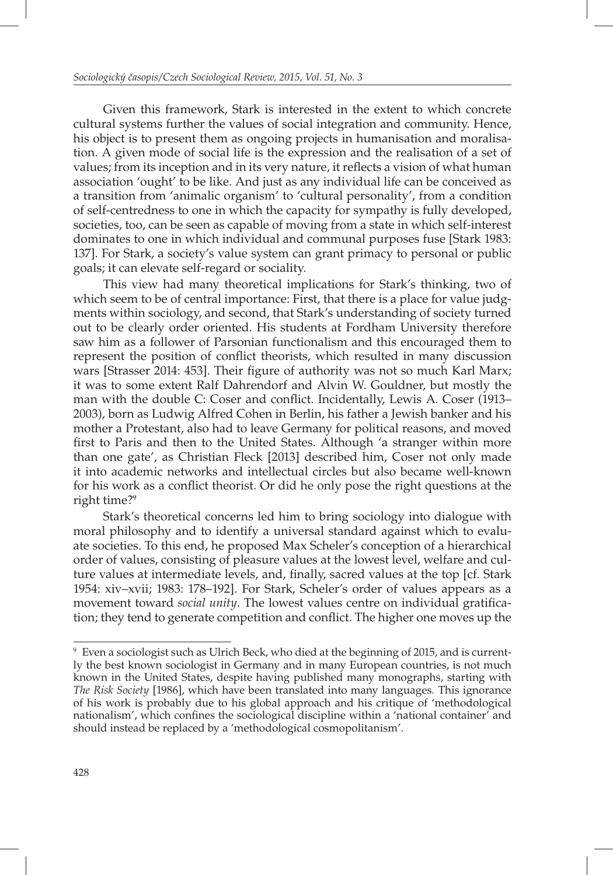Given this framework, Stark is interested in the extent to which concrete cultural systems further the values of social integration and community. Hence, his object is to present them as ongoing projects in humanisation and moralisation. A given mode of social life is the expression and the realisation of a set of values; from its inception and in its very nature, it reflects a vision of what human association 'ought' to be like. And just as any individual life can be conceived as a transition from 'animalic organism' to 'cultural personality', from a condition of self-centredness to one in which the capacity for sympathy is fully developed, societies, too, can be seen as capable of moving from a state in which self-interest dominates to one in which individual and communal purposes fuse [Stark 1983: 137]. For Stark, a society's value system can grant primacy to personal or public goals; it can elevate self-regard or sociality.

This view had many theoretical implications for Stark's thinking, two of which seem to be of central importance: First, that there is a place for value judgments within sociology, and second, that Stark's understanding of society turned out to be clearly order oriented. His students at Fordham University therefore saw him as a follower of Parsonian functionalism and this encouraged them to represent the position of conflict theorists, which resulted in many discussion wars [Strasser 2014: 453]. Their figure of authority was not so much Karl Marx; it was to some extent Ralf Dahrendorf and Alvin W. Gouldner, but mostly the man with the double C: Coser and conflict. Incidentally, Lewis A. Coser (1913– 2003), born as Ludwig Alfred Cohen in Berlin, his father a Jewish banker and his mother a Protestant, also had to leave Germany for political reasons, and moved first to Paris and then to the United States. Although 'a stranger within more than one gate', as Christian Fleck [2013] described him, Coser not only made it into academic networks and intellectual circles but also became well-known for his work as a conflict theorist. Or did he only pose the right questions at the right time?<sup>9</sup>

Stark's theoretical concerns led him to bring sociology into dialogue with moral philosophy and to identify a universal standard against which to evaluate societies. To this end, he proposed Max Scheler's conception of a hierarchical order of values, consisting of pleasure values at the lowest level, welfare and culture values at intermediate levels, and, finally, sacred values at the top [cf. Stark 1954: xiv–xvii; 1983: 178–192]. For Stark, Scheler's order of values appears as a movement toward *social unity*. The lowest values centre on individual gratification; they tend to generate competition and conflict. The higher one moves up the

<sup>9</sup> Even a sociologist such as Ulrich Beck, who died at the beginning of 2015, and is currently the best known sociologist in Germany and in many European countries, is not much known in the United States, despite having published many monographs, starting with *The Risk Society* [1986], which have been translated into many languages*.* This ignorance of his work is probably due to his global approach and his critique of 'methodological nationalism', which confines the sociological discipline within a 'national container' and should instead be replaced by a 'methodological cosmopolitanism'.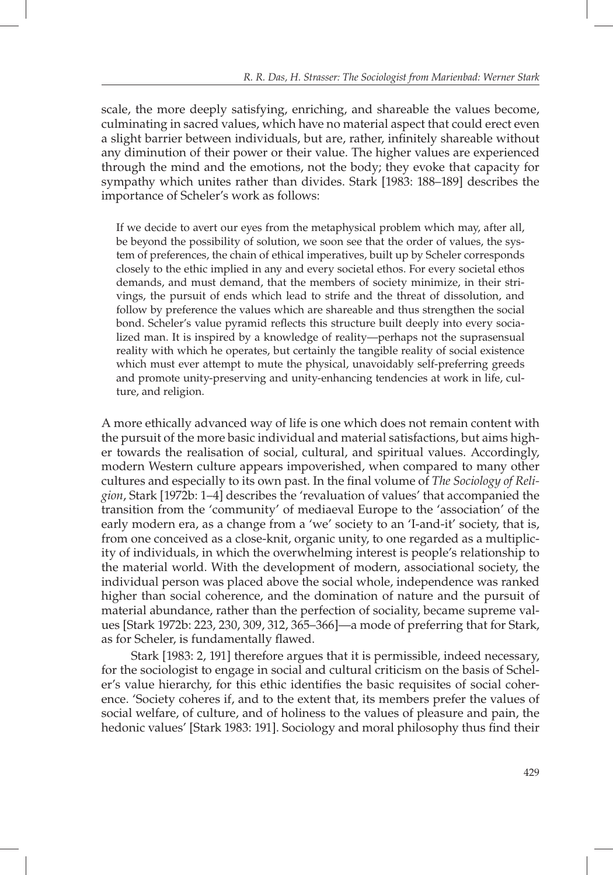scale, the more deeply satisfying, enriching, and shareable the values become, culminating in sacred values, which have no material aspect that could erect even a slight barrier between individuals, but are, rather, infinitely shareable without any diminution of their power or their value. The higher values are experienced through the mind and the emotions, not the body; they evoke that capacity for sympathy which unites rather than divides. Stark [1983: 188–189] describes the importance of Scheler's work as follows:

If we decide to avert our eyes from the metaphysical problem which may, after all, be beyond the possibility of solution, we soon see that the order of values, the system of preferences, the chain of ethical imperatives, built up by Scheler corresponds closely to the ethic implied in any and every societal ethos. For every societal ethos demands, and must demand, that the members of society minimize, in their strivings, the pursuit of ends which lead to strife and the threat of dissolution, and follow by preference the values which are shareable and thus strengthen the social bond. Scheler's value pyramid reflects this structure built deeply into every socialized man. It is inspired by a knowledge of reality—perhaps not the suprasensual reality with which he operates, but certainly the tangible reality of social existence which must ever attempt to mute the physical, unavoidably self-preferring greeds and promote unity-preserving and unity-enhancing tendencies at work in life, culture, and religion.

A more ethically advanced way of life is one which does not remain content with the pursuit of the more basic individual and material satisfactions, but aims higher towards the realisation of social, cultural, and spiritual values. Accordingly, modern Western culture appears impoverished, when compared to many other cultures and especially to its own past. In the final volume of *The Sociology of Religion*, Stark [1972b: 1–4] describes the 'revaluation of values' that accompanied the transition from the 'community' of mediaeval Europe to the 'association' of the early modern era, as a change from a 'we' society to an 'I-and-it' society, that is, from one conceived as a close-knit, organic unity, to one regarded as a multiplicity of individuals, in which the overwhelming interest is people's relationship to the material world. With the development of modern, associational society, the individual person was placed above the social whole, independence was ranked higher than social coherence, and the domination of nature and the pursuit of material abundance, rather than the perfection of sociality, became supreme values [Stark 1972b: 223, 230, 309, 312, 365–366]—a mode of preferring that for Stark, as for Scheler, is fundamentally flawed.

Stark [1983: 2, 191] therefore argues that it is permissible, indeed necessary, for the sociologist to engage in social and cultural criticism on the basis of Scheler's value hierarchy, for this ethic identifies the basic requisites of social coherence. 'Society coheres if, and to the extent that, its members prefer the values of social welfare, of culture, and of holiness to the values of pleasure and pain, the hedonic values' [Stark 1983: 191]. Sociology and moral philosophy thus find their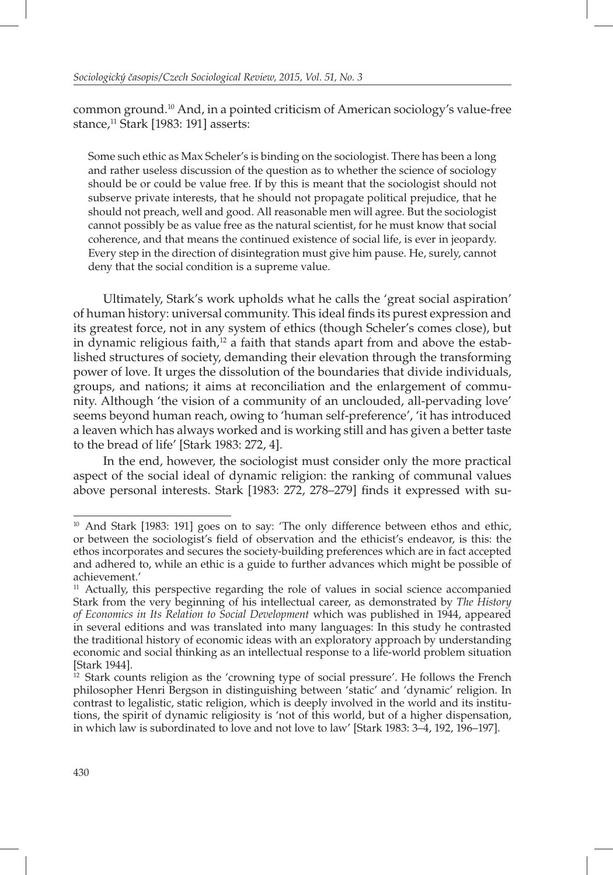common ground.10 And, in a pointed criticism of American sociology's value-free stance, $11$  Stark [1983: 191] asserts:

Some such ethic as Max Scheler's is binding on the sociologist. There has been a long and rather useless discussion of the question as to whether the science of sociology should be or could be value free. If by this is meant that the sociologist should not subserve private interests, that he should not propagate political prejudice, that he should not preach, well and good. All reasonable men will agree. But the sociologist cannot possibly be as value free as the natural scientist, for he must know that social coherence, and that means the continued existence of social life, is ever in jeopardy. Every step in the direction of disintegration must give him pause. He, surely, cannot deny that the social condition is a supreme value.

Ultimately, Stark's work upholds what he calls the 'great social aspiration' of human history: universal community. This ideal finds its purest expression and its greatest force, not in any system of ethics (though Scheler's comes close), but in dynamic religious faith,<sup>12</sup> a faith that stands apart from and above the established structures of society, demanding their elevation through the transforming power of love. It urges the dissolution of the boundaries that divide individuals, groups, and nations; it aims at reconciliation and the enlargement of community. Although 'the vision of a community of an unclouded, all-pervading love' seems beyond human reach, owing to 'human self-preference', 'it has introduced a leaven which has always worked and is working still and has given a better taste to the bread of life' [Stark 1983: 272, 4].

In the end, however, the sociologist must consider only the more practical aspect of the social ideal of dynamic religion: the ranking of communal values above personal interests. Stark [1983: 272, 278–279] finds it expressed with su-

 $10$  And Stark [1983: 191] goes on to say: 'The only difference between ethos and ethic, or between the sociologist's field of observation and the ethicist's endeavor, is this: the ethos incorporates and secures the society-building preferences which are in fact accepted and adhered to, while an ethic is a guide to further advances which might be possible of achievement.'

 $11$  Actually, this perspective regarding the role of values in social science accompanied Stark from the very beginning of his intellectual career, as demonstrated by *The History of Economics in Its Relation to Social Development* which was published in 1944, appeared in several editions and was translated into many languages: In this study he contrasted the traditional history of economic ideas with an exploratory approach by understanding economic and social thinking as an intellectual response to a life-world problem situation [Stark 1944].

 $12$  Stark counts religion as the 'crowning type of social pressure'. He follows the French philosopher Henri Bergson in distinguishing between 'static' and 'dynamic' religion. In contrast to legalistic, static religion, which is deeply involved in the world and its institutions, the spirit of dynamic religiosity is 'not of this world, but of a higher dispensation, in which law is subordinated to love and not love to law' [Stark 1983: 3–4, 192, 196–197].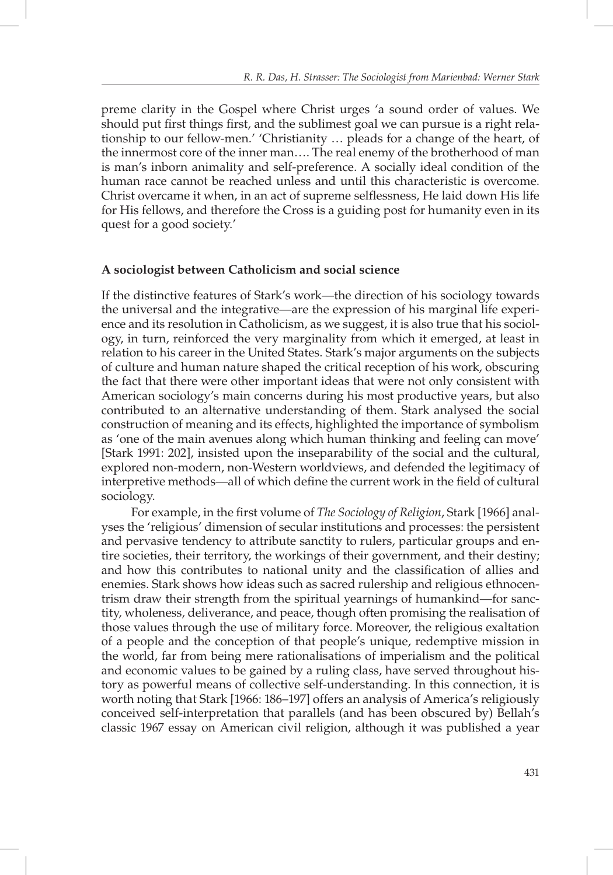preme clarity in the Gospel where Christ urges 'a sound order of values. We should put first things first, and the sublimest goal we can pursue is a right relationship to our fellow-men.' 'Christianity … pleads for a change of the heart, of the innermost core of the inner man…. The real enemy of the brotherhood of man is man's inborn animality and self-preference. A socially ideal condition of the human race cannot be reached unless and until this characteristic is overcome. Christ overcame it when, in an act of supreme selflessness, He laid down His life for His fellows, and therefore the Cross is a guiding post for humanity even in its quest for a good society.'

## **A sociologist between Catholicism and social science**

If the distinctive features of Stark's work—the direction of his sociology towards the universal and the integrative—are the expression of his marginal life experience and its resolution in Catholicism, as we suggest, it is also true that his sociology, in turn, reinforced the very marginality from which it emerged, at least in relation to his career in the United States. Stark's major arguments on the subjects of culture and human nature shaped the critical reception of his work, obscuring the fact that there were other important ideas that were not only consistent with American sociology's main concerns during his most productive years, but also contributed to an alternative understanding of them. Stark analysed the social construction of meaning and its effects, highlighted the importance of symbolism as 'one of the main avenues along which human thinking and feeling can move' [Stark 1991: 202], insisted upon the inseparability of the social and the cultural, explored non-modern, non-Western worldviews, and defended the legitimacy of interpretive methods—all of which define the current work in the field of cultural sociology.

For example, in the first volume of *The Sociology of Religion*, Stark [1966] analyses the 'religious' dimension of secular institutions and processes: the persistent and pervasive tendency to attribute sanctity to rulers, particular groups and entire societies, their territory, the workings of their government, and their destiny; and how this contributes to national unity and the classification of allies and enemies. Stark shows how ideas such as sacred rulership and religious ethnocentrism draw their strength from the spiritual yearnings of humankind—for sanctity, wholeness, deliverance, and peace, though often promising the realisation of those values through the use of military force. Moreover, the religious exaltation of a people and the conception of that people's unique, redemptive mission in the world, far from being mere rationalisations of imperialism and the political and economic values to be gained by a ruling class, have served throughout history as powerful means of collective self-understanding. In this connection, it is worth noting that Stark [1966: 186–197] offers an analysis of America's religiously conceived self-interpretation that parallels (and has been obscured by) Bellah's classic 1967 essay on American civil religion, although it was published a year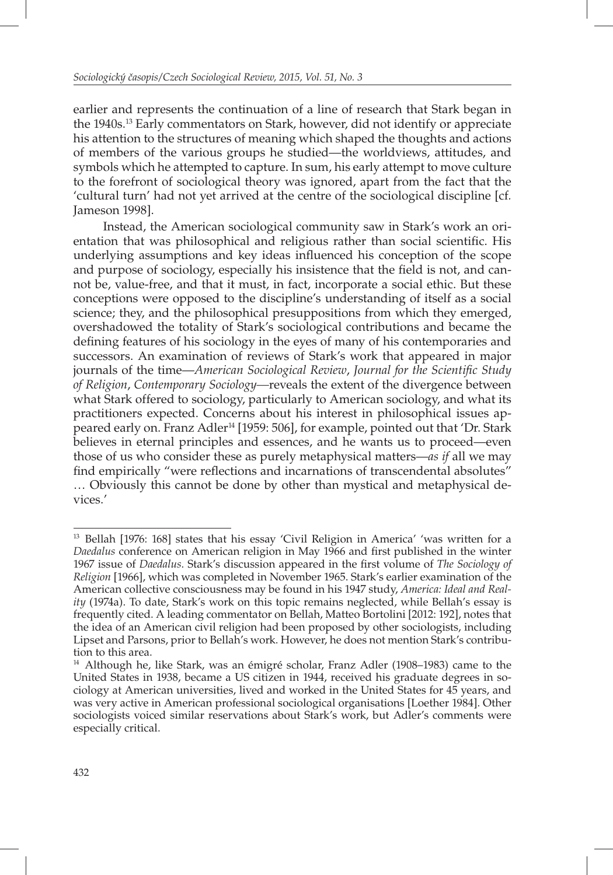earlier and represents the continuation of a line of research that Stark began in the 1940s.13 Early commentators on Stark, however, did not identify or appreciate his attention to the structures of meaning which shaped the thoughts and actions of members of the various groups he studied—the worldviews, attitudes, and symbols which he attempted to capture. In sum, his early attempt to move culture to the forefront of sociological theory was ignored, apart from the fact that the 'cultural turn' had not yet arrived at the centre of the sociological discipline [cf*.* Jameson 1998].

Instead, the American sociological community saw in Stark's work an orientation that was philosophical and religious rather than social scientific. His underlying assumptions and key ideas influenced his conception of the scope and purpose of sociology, especially his insistence that the field is not, and cannot be, value-free, and that it must, in fact, incorporate a social ethic. But these conceptions were opposed to the discipline's understanding of itself as a social science; they, and the philosophical presuppositions from which they emerged, overshadowed the totality of Stark's sociological contributions and became the defining features of his sociology in the eyes of many of his contemporaries and successors. An examination of reviews of Stark's work that appeared in major journals of the time—*American Sociological Review*, *Journal for the Scientific Study of Religion*, *Contemporary Sociology—*reveals the extent of the divergence between what Stark offered to sociology, particularly to American sociology, and what its practitioners expected. Concerns about his interest in philosophical issues appeared early on. Franz Adler<sup>14</sup> [1959: 506], for example, pointed out that 'Dr. Stark believes in eternal principles and essences, and he wants us to proceed—even those of us who consider these as purely metaphysical matters—*as if* all we may find empirically "were reflections and incarnations of transcendental absolutes" … Obviously this cannot be done by other than mystical and metaphysical devices.'

<sup>&</sup>lt;sup>13</sup> Bellah [1976: 168] states that his essay 'Civil Religion in America' 'was written for a *Daedalus* conference on American religion in May 1966 and first published in the winter 1967 issue of *Daedalus*. Stark's discussion appeared in the first volume of *The Sociology of Religion* [1966], which was completed in November 1965. Stark's earlier examination of the American collective consciousness may be found in his 1947 study, *America: Ideal and Reality* (1974a). To date, Stark's work on this topic remains neglected, while Bellah's essay is frequently cited. A leading commentator on Bellah, Matteo Bortolini [2012: 192], notes that the idea of an American civil religion had been proposed by other sociologists, including Lipset and Parsons, prior to Bellah's work. However, he does not mention Stark's contribution to this area.

 $14$  Although he, like Stark, was an émigré scholar, Franz Adler (1908–1983) came to the United States in 1938, became a US citizen in 1944, received his graduate degrees in sociology at American universities, lived and worked in the United States for 45 years, and was very active in American professional sociological organisations [Loether 1984]. Other sociologists voiced similar reservations about Stark's work, but Adler's comments were especially critical.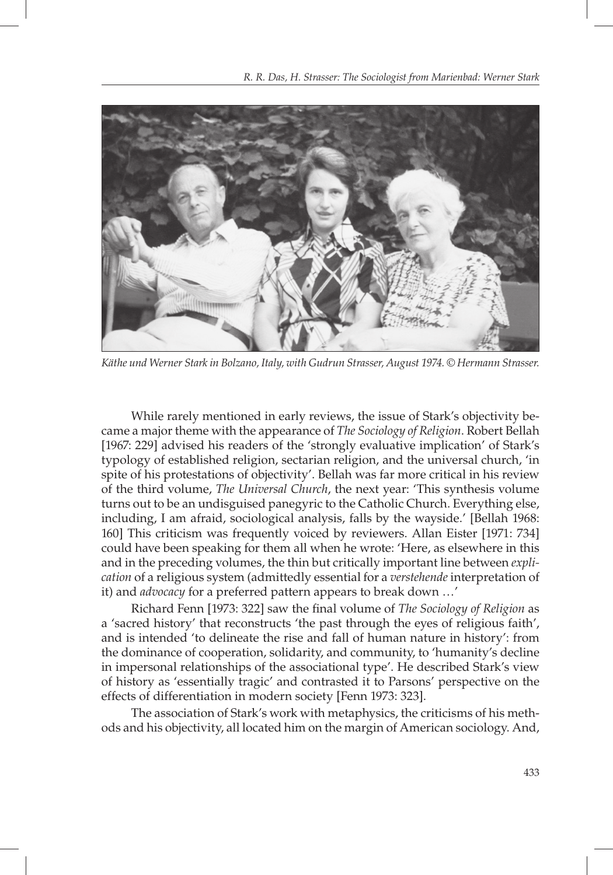

*Käthe und Werner Stark in Bolzano, Italy, with Gudrun Strasser, August 1974. © Hermann Strasser.* 

While rarely mentioned in early reviews, the issue of Stark's objectivity became a major theme with the appearance of *The Sociology of Religion*. Robert Bellah [1967: 229] advised his readers of the 'strongly evaluative implication' of Stark's typology of established religion, sectarian religion, and the universal church, 'in spite of his protestations of objectivity'. Bellah was far more critical in his review of the third volume, *The Universal Church*, the next year: 'This synthesis volume turns out to be an undisguised panegyric to the Catholic Church. Everything else, including, I am afraid, sociological analysis, falls by the wayside.' [Bellah 1968: 160] This criticism was frequently voiced by reviewers. Allan Eister [1971: 734] could have been speaking for them all when he wrote: 'Here, as elsewhere in this and in the preceding volumes, the thin but critically important line between *explication* of a religious system (admittedly essential for a *verstehende* interpretation of it) and *advocacy* for a preferred pattern appears to break down …'

Richard Fenn [1973: 322] saw the final volume of *The Sociology of Religion* as a 'sacred history' that reconstructs 'the past through the eyes of religious faith', and is intended 'to delineate the rise and fall of human nature in history': from the dominance of cooperation, solidarity, and community, to 'humanity's decline in impersonal relationships of the associational type'. He described Stark's view of history as 'essentially tragic' and contrasted it to Parsons' perspective on the effects of differentiation in modern society [Fenn 1973: 323].

The association of Stark's work with metaphysics, the criticisms of his methods and his objectivity, all located him on the margin of American sociology. And,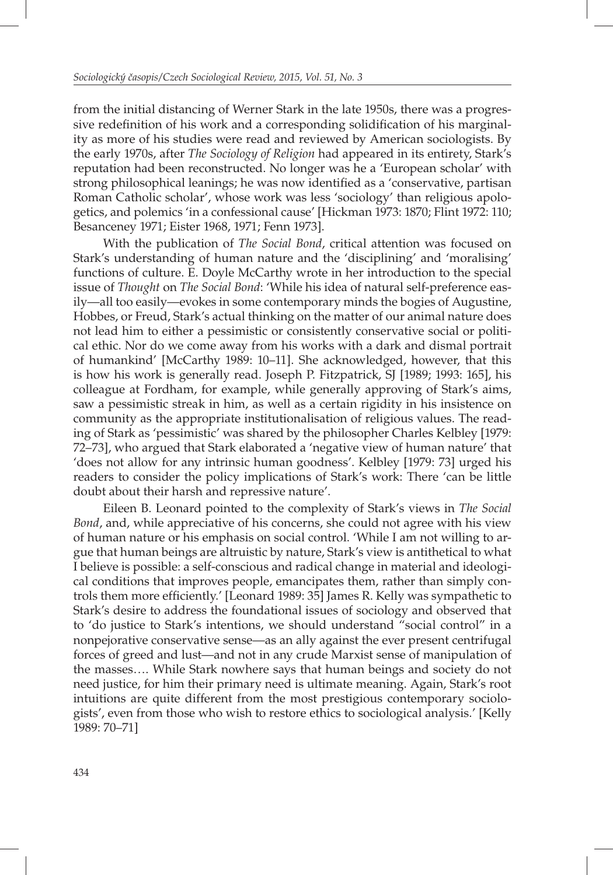from the initial distancing of Werner Stark in the late 1950s, there was a progressive redefinition of his work and a corresponding solidification of his marginality as more of his studies were read and reviewed by American sociologists. By the early 1970s, after *The Sociology of Religion* had appeared in its entirety, Stark's reputation had been reconstructed. No longer was he a 'European scholar' with strong philosophical leanings; he was now identified as a 'conservative, partisan Roman Catholic scholar', whose work was less 'sociology' than religious apologetics, and polemics 'in a confessional cause' [Hickman 1973: 1870; Flint 1972: 110; Besanceney 1971; Eister 1968, 1971; Fenn 1973].

With the publication of *The Social Bond*, critical attention was focused on Stark's understanding of human nature and the 'disciplining' and 'moralising' functions of culture. E. Doyle McCarthy wrote in her introduction to the special issue of *Thought* on *The Social Bond*: 'While his idea of natural self-preference easily—all too easily—evokes in some contemporary minds the bogies of Augustine, Hobbes, or Freud, Stark's actual thinking on the matter of our animal nature does not lead him to either a pessimistic or consistently conservative social or political ethic. Nor do we come away from his works with a dark and dismal portrait of humankind' [McCarthy 1989: 10–11]. She acknowledged, however, that this is how his work is generally read. Joseph P. Fitzpatrick, SJ [1989; 1993: 165], his colleague at Fordham, for example, while generally approving of Stark's aims, saw a pessimistic streak in him, as well as a certain rigidity in his insistence on community as the appropriate institutionalisation of religious values. The reading of Stark as 'pessimistic' was shared by the philosopher Charles Kelbley [1979: 72–73], who argued that Stark elaborated a 'negative view of human nature' that 'does not allow for any intrinsic human goodness'. Kelbley [1979: 73] urged his readers to consider the policy implications of Stark's work: There 'can be little doubt about their harsh and repressive nature'.

Eileen B. Leonard pointed to the complexity of Stark's views in *The Social Bond*, and, while appreciative of his concerns, she could not agree with his view of human nature or his emphasis on social control. 'While I am not willing to argue that human beings are altruistic by nature, Stark's view is antithetical to what I believe is possible: a self-conscious and radical change in material and ideological conditions that improves people, emancipates them, rather than simply controls them more efficiently.' [Leonard 1989: 35] James R. Kelly was sympathetic to Stark's desire to address the foundational issues of sociology and observed that to 'do justice to Stark's intentions, we should understand "social control" in a nonpejorative conservative sense—as an ally against the ever present centrifugal forces of greed and lust—and not in any crude Marxist sense of manipulation of the masses…. While Stark nowhere says that human beings and society do not need justice, for him their primary need is ultimate meaning. Again, Stark's root intuitions are quite different from the most prestigious contemporary sociologists', even from those who wish to restore ethics to sociological analysis.' [Kelly 1989: 70–71]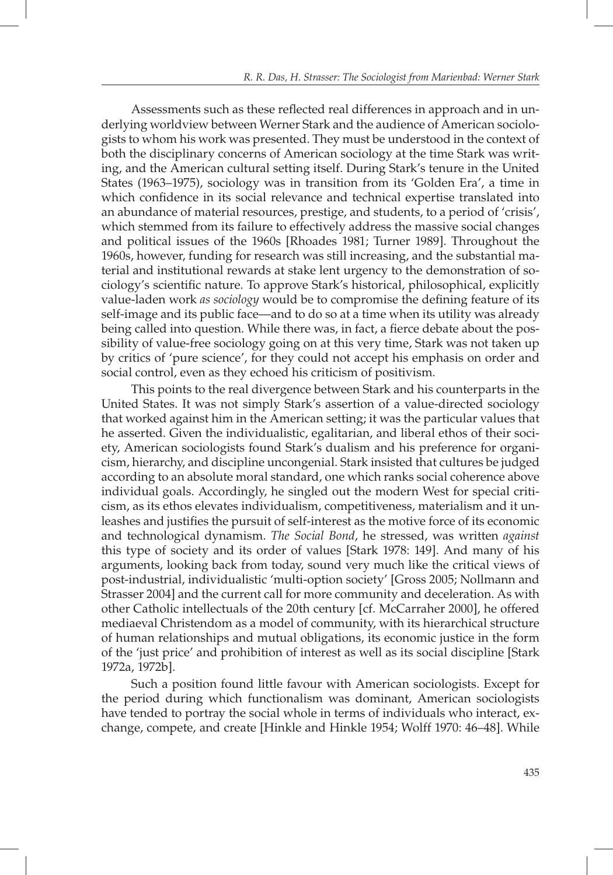Assessments such as these reflected real differences in approach and in underlying worldview between Werner Stark and the audience of American sociologists to whom his work was presented. They must be understood in the context of both the disciplinary concerns of American sociology at the time Stark was writing, and the American cultural setting itself. During Stark's tenure in the United States (1963–1975), sociology was in transition from its 'Golden Era', a time in which confidence in its social relevance and technical expertise translated into an abundance of material resources, prestige, and students, to a period of 'crisis', which stemmed from its failure to effectively address the massive social changes and political issues of the 1960s [Rhoades 1981; Turner 1989]. Throughout the 1960s, however, funding for research was still increasing, and the substantial material and institutional rewards at stake lent urgency to the demonstration of sociology's scientific nature. To approve Stark's historical, philosophical, explicitly value-laden work *as sociology* would be to compromise the defining feature of its self-image and its public face—and to do so at a time when its utility was already being called into question. While there was, in fact, a fierce debate about the possibility of value-free sociology going on at this very time, Stark was not taken up by critics of 'pure science', for they could not accept his emphasis on order and social control, even as they echoed his criticism of positivism.

This points to the real divergence between Stark and his counterparts in the United States. It was not simply Stark's assertion of a value-directed sociology that worked against him in the American setting; it was the particular values that he asserted. Given the individualistic, egalitarian, and liberal ethos of their society, American sociologists found Stark's dualism and his preference for organicism, hierarchy, and discipline uncongenial. Stark insisted that cultures be judged according to an absolute moral standard, one which ranks social coherence above individual goals. Accordingly, he singled out the modern West for special criticism, as its ethos elevates individualism, competitiveness, materialism and it unleashes and justifies the pursuit of self-interest as the motive force of its economic and technological dynamism. *The Social Bond*, he stressed, was written *against* this type of society and its order of values [Stark 1978: 149]. And many of his arguments, looking back from today, sound very much like the critical views of post-industrial, individualistic 'multi-option society' [Gross 2005; Nollmann and Strasser 2004] and the current call for more community and deceleration. As with other Catholic intellectuals of the 20th century [cf. McCarraher 2000], he offered mediaeval Christendom as a model of community, with its hierarchical structure of human relationships and mutual obligations, its economic justice in the form of the 'just price' and prohibition of interest as well as its social discipline [Stark 1972a, 1972b].

Such a position found little favour with American sociologists. Except for the period during which functionalism was dominant, American sociologists have tended to portray the social whole in terms of individuals who interact, exchange, compete, and create [Hinkle and Hinkle 1954; Wolff 1970: 46–48]. While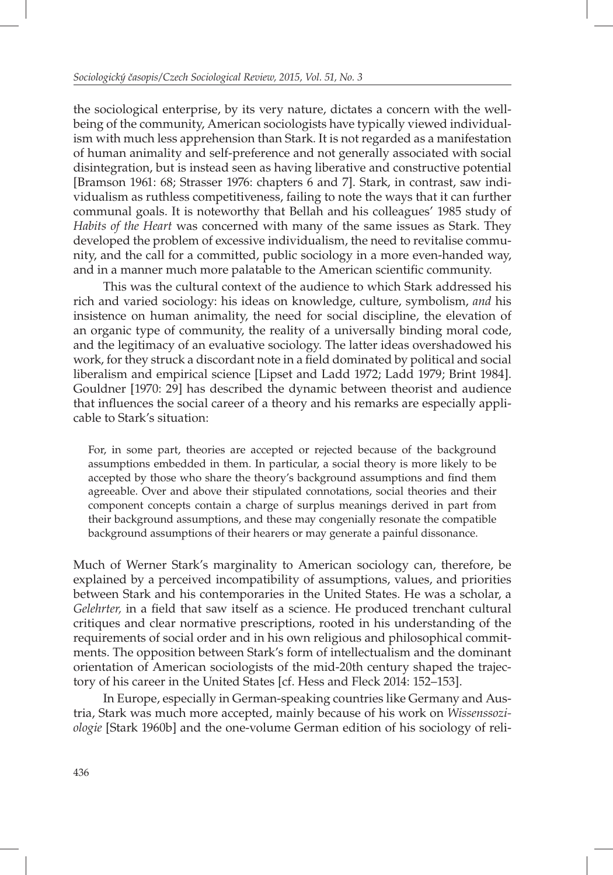the sociological enterprise, by its very nature, dictates a concern with the wellbeing of the community, American sociologists have typically viewed individualism with much less apprehension than Stark. It is not regarded as a manifestation of human animality and self-preference and not generally associated with social disintegration, but is instead seen as having liberative and constructive potential [Bramson 1961: 68; Strasser 1976: chapters 6 and 7]. Stark, in contrast, saw individualism as ruthless competitiveness, failing to note the ways that it can further communal goals. It is noteworthy that Bellah and his colleagues' 1985 study of *Habits of the Heart* was concerned with many of the same issues as Stark. They developed the problem of excessive individualism, the need to revitalise community, and the call for a committed, public sociology in a more even-handed way, and in a manner much more palatable to the American scientific community.

This was the cultural context of the audience to which Stark addressed his rich and varied sociology: his ideas on knowledge, culture, symbolism, *and* his insistence on human animality, the need for social discipline, the elevation of an organic type of community, the reality of a universally binding moral code, and the legitimacy of an evaluative sociology. The latter ideas overshadowed his work, for they struck a discordant note in a field dominated by political and social liberalism and empirical science [Lipset and Ladd 1972; Ladd 1979; Brint 1984]. Gouldner [1970: 29] has described the dynamic between theorist and audience that influences the social career of a theory and his remarks are especially applicable to Stark's situation:

For, in some part, theories are accepted or rejected because of the background assumptions embedded in them. In particular, a social theory is more likely to be accepted by those who share the theory's background assumptions and find them agreeable. Over and above their stipulated connotations, social theories and their component concepts contain a charge of surplus meanings derived in part from their background assumptions, and these may congenially resonate the compatible background assumptions of their hearers or may generate a painful dissonance.

Much of Werner Stark's marginality to American sociology can, therefore, be explained by a perceived incompatibility of assumptions, values, and priorities between Stark and his contemporaries in the United States. He was a scholar, a *Gelehrter*, in a field that saw itself as a science. He produced trenchant cultural critiques and clear normative prescriptions, rooted in his understanding of the requirements of social order and in his own religious and philosophical commitments. The opposition between Stark's form of intellectualism and the dominant orientation of American sociologists of the mid-20th century shaped the trajectory of his career in the United States [cf. Hess and Fleck 2014: 152–153].

In Europe, especially in German-speaking countries like Germany and Austria, Stark was much more accepted, mainly because of his work on *Wissenssoziologie* [Stark 1960b] and the one-volume German edition of his sociology of reli-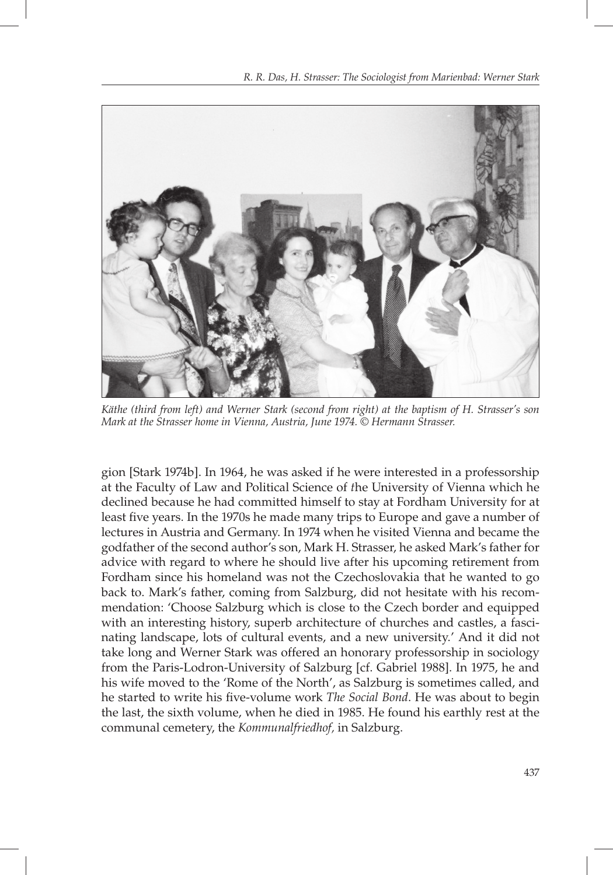

*Käthe (third from left) and Werner Stark (second from right) at the baptism of H. Strasser's son Mark at the Strasser home in Vienna, Austria, June 1974. © Hermann Strasser.* 

gion [Stark 1974b]. In 1964, he was asked if he were interested in a professorship at the Faculty of Law and Political Science of *t*he University of Vienna which he declined because he had committed himself to stay at Fordham University for at least five years. In the 1970s he made many trips to Europe and gave a number of lectures in Austria and Germany. In 1974 when he visited Vienna and became the godfather of the second author's son, Mark H. Strasser, he asked Mark's father for advice with regard to where he should live after his upcoming retirement from Fordham since his homeland was not the Czechoslovakia that he wanted to go back to. Mark's father, coming from Salzburg, did not hesitate with his recommendation: 'Choose Salzburg which is close to the Czech border and equipped with an interesting history, superb architecture of churches and castles, a fascinating landscape, lots of cultural events, and a new university.' And it did not take long and Werner Stark was offered an honorary professorship in sociology from the Paris-Lodron-University of Salzburg [cf. Gabriel 1988]. In 1975, he and his wife moved to the 'Rome of the North', as Salzburg is sometimes called, and he started to write his five-volume work *The Social Bond*. He was about to begin the last, the sixth volume, when he died in 1985. He found his earthly rest at the communal cemetery, the *Kommunalfriedhof,* in Salzburg.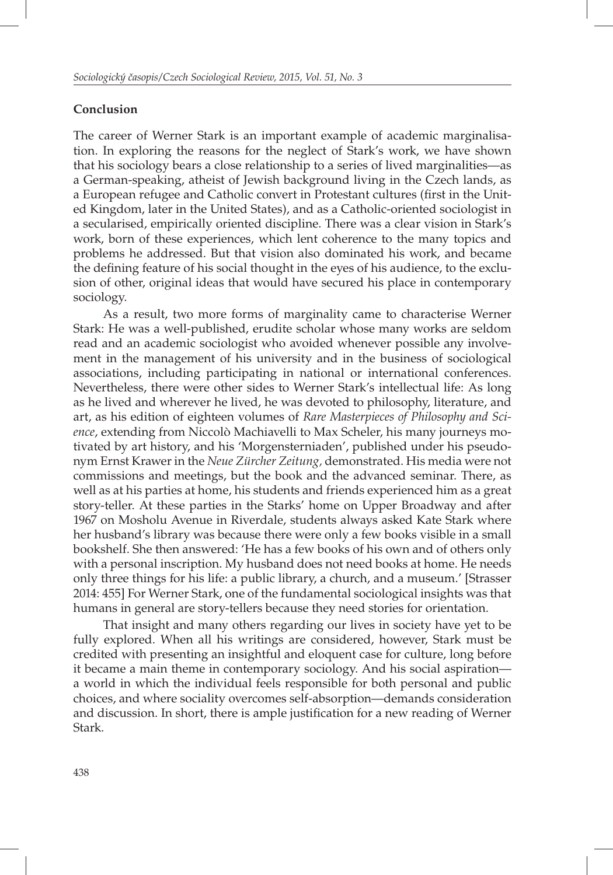## **Conclusion**

The career of Werner Stark is an important example of academic marginalisation. In exploring the reasons for the neglect of Stark's work, we have shown that his sociology bears a close relationship to a series of lived marginalities—as a German-speaking, atheist of Jewish background living in the Czech lands, as a European refugee and Catholic convert in Protestant cultures (first in the United Kingdom, later in the United States), and as a Catholic-oriented sociologist in a secularised, empirically oriented discipline. There was a clear vision in Stark's work, born of these experiences, which lent coherence to the many topics and problems he addressed. But that vision also dominated his work, and became the defining feature of his social thought in the eyes of his audience, to the exclusion of other, original ideas that would have secured his place in contemporary sociology.

As a result, two more forms of marginality came to characterise Werner Stark: He was a well-published, erudite scholar whose many works are seldom read and an academic sociologist who avoided whenever possible any involvement in the management of his university and in the business of sociological associations, including participating in national or international conferences. Nevertheless, there were other sides to Werner Stark's intellectual life: As long as he lived and wherever he lived, he was devoted to philosophy, literature, and art, as his edition of eighteen volumes of *Rare Masterpieces of Philosophy and Science*, extending from Niccolò Machiavelli to Max Scheler, his many journeys motivated by art history, and his 'Morgensterniaden', published under his pseudonym Ernst Krawer in the *Neue Zürcher Zeitung,* demonstrated. His media were not commissions and meetings, but the book and the advanced seminar. There, as well as at his parties at home, his students and friends experienced him as a great story-teller. At these parties in the Starks' home on Upper Broadway and after 1967 on Mosholu Avenue in Riverdale, students always asked Kate Stark where her husband's library was because there were only a few books visible in a small bookshelf. She then answered: 'He has a few books of his own and of others only with a personal inscription. My husband does not need books at home. He needs only three things for his life: a public library, a church, and a museum.' [Strasser 2014: 455] For Werner Stark, one of the fundamental sociological insights was that humans in general are story-tellers because they need stories for orientation.

That insight and many others regarding our lives in society have yet to be fully explored. When all his writings are considered, however, Stark must be credited with presenting an insightful and eloquent case for culture, long before it became a main theme in contemporary sociology. And his social aspiration a world in which the individual feels responsible for both personal and public choices, and where sociality overcomes self-absorption—demands consideration and discussion. In short, there is ample justification for a new reading of Werner Stark.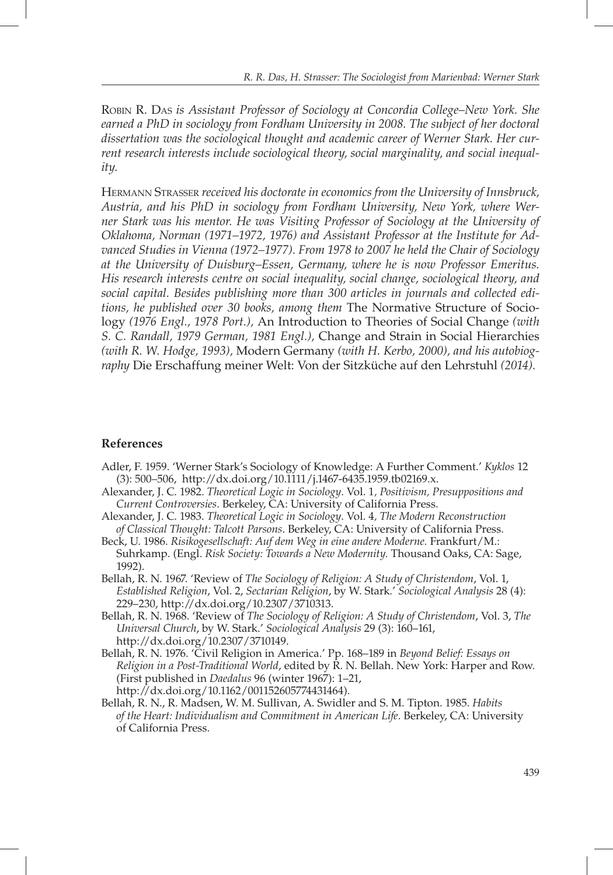ROBIN R. DAS *is Assistant Professor of Sociology at Concordia College–New York. She earned a PhD in sociology from Fordham University in 2008. The subject of her doctoral dissertation was the sociological thought and academic career of Werner Stark. Her current research interests include sociological theory, social marginality, and social inequality.*

HERMANN STRASSER *received his doctorate in economics from the University of Innsbruck, Austria, and his PhD in sociology from Fordham University, New York, where Werner Stark was his mentor. He was Visiting Professor of Sociology at the University of Oklahoma, Norman (1971–1972, 1976) and Assistant Professor at the Institute for Advanced Studies in Vienna (1972–1977). From 1978 to 2007 he held the Chair of Sociology at the University of Duisburg–Essen, Germany, where he is now Professor Emeritus. His research interests centre on social inequality, social change, sociological theory, and social capital. Besides publishing more than 300 articles in journals and collected editions, he published over 30 books, among them* The Normative Structure of Sociology *(1976 Engl., 1978 Port.),* An Introduction to Theories of Social Change *(with S. C. Randall, 1979 German, 1981 Engl.),* Change and Strain in Social Hierarchies *(with R. W. Hodge, 1993),* Modern Germany *(with H. Kerbo, 2000), and his autobiography* Die Erschaffung meiner Welt: Von der Sitzküche auf den Lehrstuhl *(2014).*

#### **References**

- Adler, F. 1959. 'Werner Stark's Sociology of Knowledge: A Further Comment.' *Kyklos* 12 (3): 500–506, http://dx.doi.org/10.1111/j.1467-6435.1959.tb02169.x.
- Alexander, J. C. 1982. *Theoretical Logic in Sociology*. Vol. 1*, Positivism, Presuppositions and Current Controversies*. Berkeley, CA: University of California Press.
- Alexander, J. C. 1983. *Theoretical Logic in Sociology*. Vol. 4*, The Modern Reconstruction of Classical Thought: Talcott Parsons*. Berkeley, CA: University of California Press.
- Beck, U. 1986. *Risikogesellschaft: Auf dem Weg in eine andere Moderne.* Frankfurt/M.: Suhrkamp. (Engl. *Risk Society: Towards a New Modernity.* Thousand Oaks, CA: Sage, 1992).
- Bellah, R. N. 1967. 'Review of *The Sociology of Religion: A Study of Christendom*, Vol. 1, *Established Religion*, Vol. 2, *Sectarian Religion*, by W. Stark.' *Sociological Analysis* 28 (4): 229–230, http://dx.doi.org/10.2307/3710313.
- Bellah, R. N. 1968. 'Review of *The Sociology of Religion: A Study of Christendom*, Vol. 3, *The Universal Church*, by W. Stark.' *Sociological Analysis* 29 (3): 160–161, http://dx.doi.org/10.2307/3710149.
- Bellah, R. N. 1976. 'Civil Religion in America.' Pp. 168–189 in *Beyond Belief: Essays on Religion in a Post-Traditional World*, edited by R. N. Bellah. New York: Harper and Row. (First published in *Daedalus* 96 (winter 1967): 1–21, http://dx.doi.org/10.1162/001152605774431464).
- Bellah, R. N., R. Madsen, W. M. Sullivan, A. Swidler and S. M. Tipton. 1985. *Habits of the Heart: Individualism and Commitment in American Life*. Berkeley, CA: University of California Press.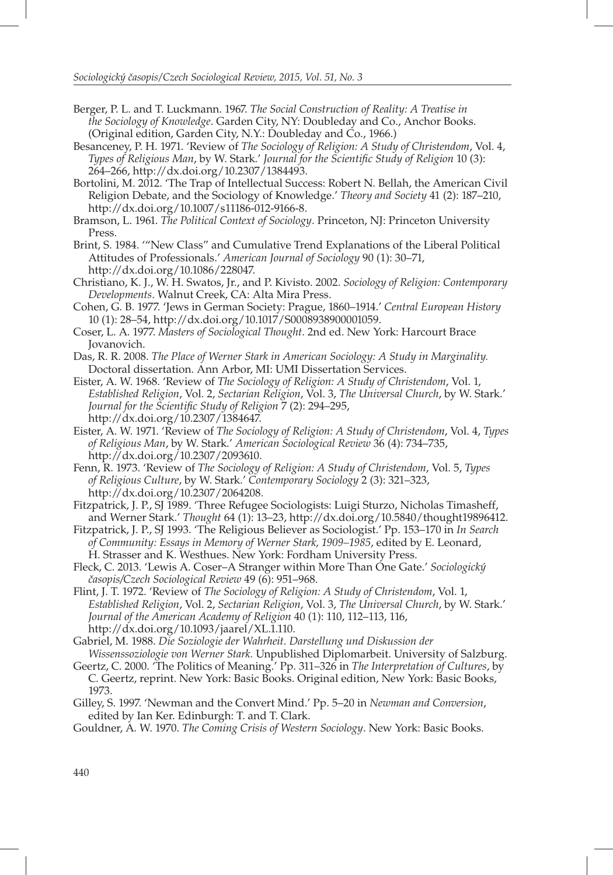- Berger, P. L. and T. Luckmann. 1967. *The Social Construction of Reality: A Treatise in the Sociology of Knowledge*. Garden City, NY: Doubleday and Co., Anchor Books. (Original edition, Garden City, N.Y.: Doubleday and Co., 1966.)
- Besanceney, P. H. 1971. 'Review of *The Sociology of Religion: A Study of Christendom*, Vol. 4, *Types of Religious Man, by W. Stark.' Journal for the Scientific Study of Religion 10 (3):* 264–266, http://dx.doi.org/10.2307/1384493.
- Bortolini, M. 2012. 'The Trap of Intellectual Success: Robert N. Bellah, the American Civil Religion Debate, and the Sociology of Knowledge.' *Theory and Society* 41 (2): 187–210, http://dx.doi.org/10.1007/s11186-012-9166-8.
- Bramson, L. 1961. *The Political Context of Sociology*. Princeton, NJ: Princeton University Press.
- Brint, S. 1984. '"New Class" and Cumulative Trend Explanations of the Liberal Political Attitudes of Professionals.' *American Journal of Sociology* 90 (1): 30–71, http://dx.doi.org/10.1086/228047.
- Christiano, K. J., W. H. Swatos, Jr., and P. Kivisto. 2002. *Sociology of Religion: Contemporary Developments*. Walnut Creek, CA: Alta Mira Press.
- Cohen, G. B. 1977. 'Jews in German Society: Prague, 1860–1914.' *Central European History* 10 (1): 28–54, http://dx.doi.org/10.1017/S0008938900001059.
- Coser, L. A. 1977. *Masters of Sociological Thought*. 2nd ed. New York: Harcourt Brace Jovanovich.
- Das, R. R. 2008. *The Place of Werner Stark in American Sociology: A Study in Marginality.*  Doctoral dissertation. Ann Arbor, MI: UMI Dissertation Services.
- Eister, A. W. 1968. 'Review of *The Sociology of Religion: A Study of Christendom*, Vol. 1, *Established Religion*, Vol. 2, *Sectarian Religion*, Vol. 3, *The Universal Church*, by W. Stark.' *Journal for the Scientific Study of Religion*  $\overline{7}$  (2): 294–295, http://dx.doi.org/10.2307/1384647.
- Eister, A. W. 1971. 'Review of *The Sociology of Religion: A Study of Christendom*, Vol. 4, *Types of Religious Man*, by W. Stark.' *American Sociological Review* 36 (4): 734–735, http://dx.doi.org/10.2307/2093610.
- Fenn, R. 1973. 'Review of *The Sociology of Religion: A Study of Christendom*, Vol. 5, *Types of Religious Culture*, by W. Stark.' *Contemporary Sociology* 2 (3): 321–323, http://dx.doi.org/10.2307/2064208.
- Fitzpatrick, J. P., SJ 1989. 'Three Refugee Sociologists: Luigi Sturzo, Nicholas Timasheff, and Werner Stark.' *Thought* 64 (1): 13–23, http://dx.doi.org/10.5840/thought19896412.
- Fitzpatrick, J. P., SJ 1993. 'The Religious Believer as Sociologist.' Pp. 153–170 in *In Search of Community: Essays in Memory of Werner Stark, 1909–1985*, edited by E. Leonard, H. Strasser and K. Westhues. New York: Fordham University Press.
- Fleck, C. 2013. 'Lewis A. Coser–A Stranger within More Than One Gate.' *Sociologický časopis/Czech Sociological Review* 49 (6): 951–968.
- Flint, J. T. 1972. 'Review of *The Sociology of Religion: A Study of Christendom*, Vol. 1, *Established Religion*, Vol. 2, *Sectarian Religion*, Vol. 3, *The Universal Church*, by W. Stark.' *Journal of the American Academy of Religion* 40 (1): 110, 112–113, 116, http://dx.doi.org/10.1093/jaarel/XL.1.110.
- Gabriel, M. 1988. *Die Soziologie der Wahrheit. Darstellung und Diskussion der Wissenssoziologie von Werner Stark.* Unpublished Diplomarbeit. University of Salzburg.
- Geertz, C. 2000. 'The Politics of Meaning.' Pp. 311–326 in *The Interpretation of Cultures*, by C. Geertz, reprint. New York: Basic Books. Original edition, New York: Basic Books, 1973.
- Gilley, S. 1997. 'Newman and the Convert Mind.' Pp. 5–20 in *Newman and Conversion*, edited by Ian Ker. Edinburgh: T. and T. Clark.

Gouldner, A. W. 1970. *The Coming Crisis of Western Sociology*. New York: Basic Books.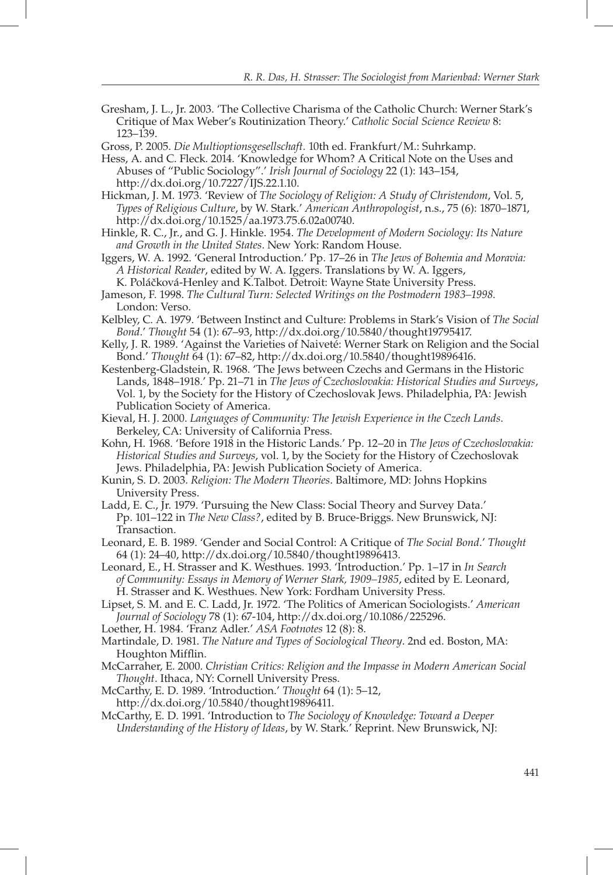- Gresham, J. L., Jr. 2003. 'The Collective Charisma of the Catholic Church: Werner Stark's Critique of Max Weber's Routinization Theory.' *Catholic Social Science Review* 8: 123–139.
- Gross, P. 2005. *Die Multioptionsgesellschaft.* 10th ed. Frankfurt/M.: Suhrkamp.
- Hess, A. and C. Fleck. 2014. 'Knowledge for Whom? A Critical Note on the Uses and Abuses of "Public Sociology".' *Irish Journal of Sociology* 22 (1): 143–154, http://dx.doi.org/10.7227/IJS.22.1.10.
- Hickman, J. M. 1973. 'Review of *The Sociology of Religion: A Study of Christendom*, Vol. 5, *Types of Religious Culture*, by W. Stark.' *American Anthropologist*, n.s., 75 (6): 1870–1871, http://dx.doi.org/10.1525/aa.1973.75.6.02a00740.
- Hinkle, R. C., Jr., and G. J. Hinkle. 1954. *The Development of Modern Sociology: Its Nature and Growth in the United States*. New York: Random House.
- Iggers, W. A. 1992. 'General Introduction.' Pp. 17–26 in *The Jews of Bohemia and Moravia: A Historical Reader*, edited by W. A. Iggers. Translations by W. A. Iggers, K. Poláčková-Henley and K.Talbot. Detroit: Wayne State University Press.
- Jameson, F. 1998. *The Cultural Turn: Selected Writings on the Postmodern 1983–1998.* London: Verso.
- Kelbley, C. A. 1979. 'Between Instinct and Culture: Problems in Stark's Vision of *The Social Bond*.' *Thought* 54 (1): 67–93, http://dx.doi.org/10.5840/thought19795417.
- Kelly, J. R. 1989. 'Against the Varieties of Naiveté: Werner Stark on Religion and the Social Bond.' *Thought* 64 (1): 67–82, http://dx.doi.org/10.5840/thought19896416.
- Kestenberg-Gladstein, R. 1968. 'The Jews between Czechs and Germans in the Historic Lands, 1848–1918.' Pp. 21–71 in *The Jews of Czechoslovakia: Historical Studies and Surveys*, Vol. 1, by the Society for the History of Czechoslovak Jews. Philadelphia, PA: Jewish Publication Society of America.
- Kieval, H. J. 2000. *Languages of Community: The Jewish Experience in the Czech Lands*. Berkeley, CA: University of California Press.
- Kohn, H. 1968. 'Before 1918 in the Historic Lands.' Pp. 12–20 in *The Jews of Czechoslovakia: Historical Studies and Surveys*, vol. 1, by the Society for the History of Czechoslovak Jews. Philadelphia, PA: Jewish Publication Society of America.
- Kunin, S. D. 2003. *Religion: The Modern Theories*. Baltimore, MD: Johns Hopkins University Press.
- Ladd, E. C., Jr. 1979. 'Pursuing the New Class: Social Theory and Survey Data.' Pp. 101–122 in *The New Class?*, edited by B. Bruce-Briggs. New Brunswick, NJ: Transaction.
- Leonard, E. B. 1989. 'Gender and Social Control: A Critique of *The Social Bond*.' *Thought* 64 (1): 24–40, http://dx.doi.org/10.5840/thought19896413.
- Leonard, E., H. Strasser and K. Westhues. 1993. 'Introduction.' Pp. 1–17 in *In Search of Community: Essays in Memory of Werner Stark, 1909–1985*, edited by E. Leonard, H. Strasser and K. Westhues. New York: Fordham University Press.

Lipset, S. M. and E. C. Ladd, Jr. 1972. 'The Politics of American Sociologists.' *American Journal of Sociology* 78 (1): 67-104, http://dx.doi.org/10.1086/225296.

- Loether, H. 1984. 'Franz Adler.' *ASA Footnotes* 12 (8): 8.
- Martindale, D. 1981. *The Nature and Types of Sociological Theory*. 2nd ed. Boston, MA: Houghton Mifflin.
- McCarraher, E. 2000. *Christian Critics: Religion and the Impasse in Modern American Social Thought*. Ithaca, NY: Cornell University Press.

McCarthy, E. D. 1989. 'Introduction.' *Thought* 64 (1): 5–12, http://dx.doi.org/10.5840/thought19896411.

McCarthy, E. D. 1991. 'Introduction to *The Sociology of Knowledge: Toward a Deeper Understanding of the History of Ideas*, by W. Stark.' Reprint. New Brunswick, NJ: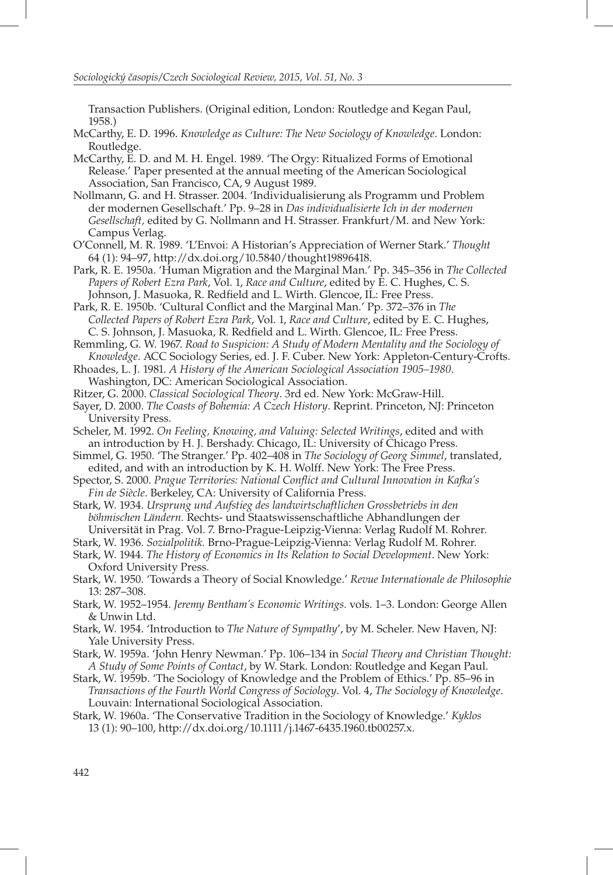Transaction Publishers. (Original edition, London: Routledge and Kegan Paul, 1958.)

- McCarthy, E. D. 1996. *Knowledge as Culture: The New Sociology of Knowledge*. London: Routledge.
- McCarthy, E. D. and M. H. Engel. 1989. 'The Orgy: Ritualized Forms of Emotional Release.' Paper presented at the annual meeting of the American Sociological Association, San Francisco, CA, 9 August 1989.
- Nollmann, G. and H. Strasser. 2004. 'Individualisierung als Programm und Problem der modernen Gesellschaft.' Pp. 9–28 in *Das individualisierte Ich in der modernen Gesellschaft,* edited by G. Nollmann and H. Strasser. Frankfurt/M. and New York: Campus Verlag.
- O'Connell, M. R. 1989. 'L'Envoi: A Historian's Appreciation of Werner Stark.' *Thought* 64 (1): 94–97, http://dx.doi.org/10.5840/thought19896418.
- Park, R. E. 1950a. 'Human Migration and the Marginal Man.' Pp. 345–356 in *The Collected Papers of Robert Ezra Park*, Vol. 1, *Race and Culture*, edited by E. C. Hughes, C. S. Johnson, J. Masuoka, R. Redfield and L. Wirth. Glencoe, IL: Free Press.
- Park, R. E. 1950b. 'Cultural Conflict and the Marginal Man.' Pp. 372-376 in *The Collected Papers of Robert Ezra Park*, Vol. 1, *Race and Culture*, edited by E. C. Hughes, C. S. Johnson, J. Masuoka, R. Redfield and L. Wirth. Glencoe, IL: Free Press.

Remmling, G. W. 1967. *Road to Suspicion: A Study of Modern Mentality and the Sociology of Knowledge*. ACC Sociology Series, ed. J. F. Cuber. New York: Appleton-Century-Crofts.

- Rhoades, L. J. 1981. *A History of the American Sociological Association 1905–1980*. Washington, DC: American Sociological Association.
- Ritzer, G. 2000. *Classical Sociological Theory*. 3rd ed. New York: McGraw-Hill.
- Sayer, D. 2000. *The Coasts of Bohemia: A Czech History*. Reprint. Princeton, NJ: Princeton University Press.
- Scheler, M. 1992. *On Feeling, Knowing, and Valuing: Selected Writings*, edited and with an introduction by H. J. Bershady. Chicago, IL: University of Chicago Press.
- Simmel, G. 1950. 'The Stranger.' Pp. 402–408 in *The Sociology of Georg Simmel*, translated, edited, and with an introduction by K. H. Wolff. New York: The Free Press.
- Spector, S. 2000. *Prague Territories: National Conflict and Cultural Innovation in Kafka's Fin de Siècle*. Berkeley, CA: University of California Press.
- Stark, W. 1934. *Ursprung und Aufstieg des landwirtschaftlichen Grossbetriebs in den böhmischen Ländern.* Rechts- und Staatswissenschaftliche Abhandlungen der Universität in Prag. Vol. 7. Brno-Prague-Leipzig-Vienna: Verlag Rudolf M. Rohrer.

Stark, W. 1936. *Sozialpolitik.* Brno-Prague-Leipzig-Vienna: Verlag Rudolf M. Rohrer.

- Stark, W. 1944. *The History of Economics in Its Relation to Social Development*. New York:
- Oxford University Press.
- Stark, W. 1950. 'Towards a Theory of Social Knowledge.' *Revue Internationale de Philosophie* 13: 287–308.
- Stark, W. 1952–1954. *Jeremy Bentham's Economic Writings.* vols. 1–3. London: George Allen & Unwin Ltd.
- Stark, W. 1954. 'Introduction to *The Nature of Sympathy*', by M. Scheler. New Haven, NJ: Yale University Press.
- Stark, W. 1959a. 'John Henry Newman.' Pp. 106–134 in *Social Theory and Christian Thought: A Study of Some Points of Contact*, by W. Stark. London: Routledge and Kegan Paul.
- Stark, W. 1959b. 'The Sociology of Knowledge and the Problem of Ethics.' Pp. 85–96 in *Transactions of the Fourth World Congress of Sociology*. Vol. 4, *The Sociology of Knowledge*. Louvain: International Sociological Association.
- Stark, W. 1960a. 'The Conservative Tradition in the Sociology of Knowledge.' *Kyklos* 13 (1): 90–100, http://dx.doi.org/10.1111/j.1467-6435.1960.tb00257.x.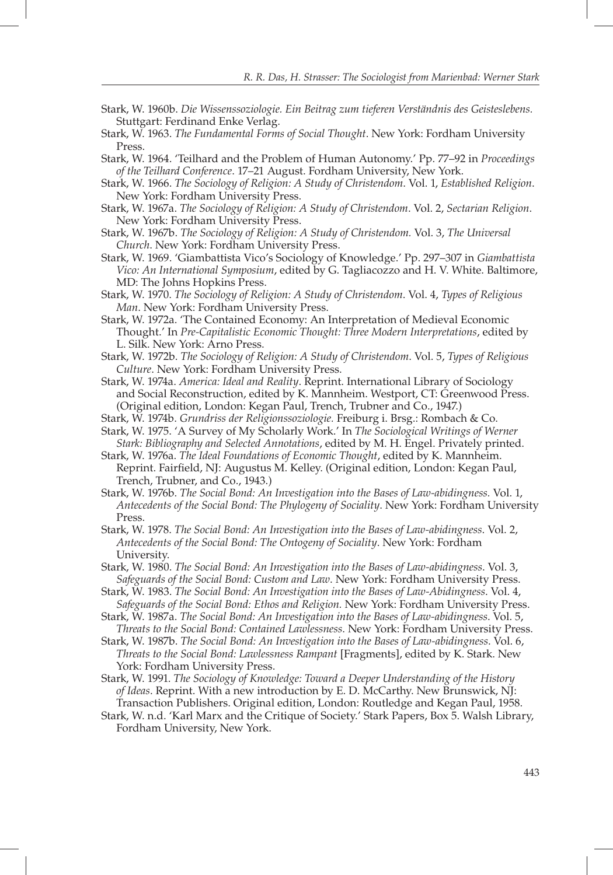- Stark, W. 1960b. *Die Wissenssoziologie. Ein Beitrag zum tieferen Verständnis des Geisteslebens.* Stuttgart: Ferdinand Enke Verlag.
- Stark, W. 1963. *The Fundamental Forms of Social Thought*. New York: Fordham University Press.
- Stark, W. 1964. 'Teilhard and the Problem of Human Autonomy.' Pp. 77–92 in *Proceedings of the Teilhard Conference*. 17–21 August. Fordham University, New York.
- Stark, W. 1966. *The Sociology of Religion: A Study of Christendom*. Vol. 1, *Established Religion*. New York: Fordham University Press.
- Stark, W. 1967a. *The Sociology of Religion: A Study of Christendom*. Vol. 2, *Sectarian Religion*. New York: Fordham University Press.
- Stark, W. 1967b. *The Sociology of Religion: A Study of Christendom.* Vol. 3, *The Universal Church*. New York: Fordham University Press.
- Stark, W. 1969. 'Giambattista Vico's Sociology of Knowledge.' Pp. 297–307 in *Giambattista Vico: An International Symposium*, edited by G. Tagliacozzo and H. V. White. Baltimore, MD: The Johns Hopkins Press.
- Stark, W. 1970. *The Sociology of Religion: A Study of Christendom*. Vol. 4, *Types of Religious Man*. New York: Fordham University Press.
- Stark, W. 1972a. 'The Contained Economy: An Interpretation of Medieval Economic Thought.' In *Pre-Capitalistic Economic Thought: Three Modern Interpretations*, edited by L. Silk. New York: Arno Press.
- Stark, W. 1972b. *The Sociology of Religion: A Study of Christendom*. Vol. 5, *Types of Religious Culture*. New York: Fordham University Press.
- Stark, W. 1974a. *America: Ideal and Reality*. Reprint. International Library of Sociology and Social Reconstruction, edited by K. Mannheim. Westport, CT: Greenwood Press. (Original edition, London: Kegan Paul, Trench, Trubner and Co., 1947.)
- Stark, W. 1974b. *Grundriss der Religionssoziologie.* Freiburg i. Brsg.: Rombach & Co.
- Stark, W. 1975. 'A Survey of My Scholarly Work.' In *The Sociological Writings of Werner Stark: Bibliography and Selected Annotations*, edited by M. H. Engel. Privately printed.
- Stark, W. 1976a. *The Ideal Foundations of Economic Thought*, edited by K. Mannheim. Reprint. Fairfield, NJ: Augustus M. Kelley. (Original edition, London: Kegan Paul, Trench, Trubner, and Co., 1943.)
- Stark, W. 1976b. *The Social Bond: An Investigation into the Bases of Law-abidingness.* Vol. 1, *Antecedents of the Social Bond: The Phylogeny of Sociality*. New York: Fordham University Press.
- Stark, W. 1978. *The Social Bond: An Investigation into the Bases of Law-abidingness*. Vol. 2, *Antecedents of the Social Bond: The Ontogeny of Sociality*. New York: Fordham University.
- Stark, W. 1980. *The Social Bond: An Investigation into the Bases of Law-abidingness*. Vol. 3, *Safeguards of the Social Bond: Custom and Law*. New York: Fordham University Press.
- Stark, W. 1983. *The Social Bond: An Investigation into the Bases of Law-Abidingness*. Vol. 4, *Safeguards of the Social Bond: Ethos and Religion.* New York: Fordham University Press.
- Stark, W. 1987a. *The Social Bond: An Investigation into the Bases of Law-abidingness*. Vol. 5, *Threats to the Social Bond: Contained Lawlessness*. New York: Fordham University Press.
- Stark, W. 1987b. *The Social Bond: An Investigation into the Bases of Law-abidingness*. Vol. 6, *Threats to the Social Bond: Lawlessness Rampant* [Fragments], edited by K. Stark. New York: Fordham University Press.
- Stark, W. 1991. *The Sociology of Knowledge: Toward a Deeper Understanding of the History of Ideas*. Reprint. With a new introduction by E. D. McCarthy. New Brunswick, NJ: Transaction Publishers. Original edition, London: Routledge and Kegan Paul, 1958.
- Stark, W. n.d. 'Karl Marx and the Critique of Society.' Stark Papers, Box 5. Walsh Library, Fordham University, New York.